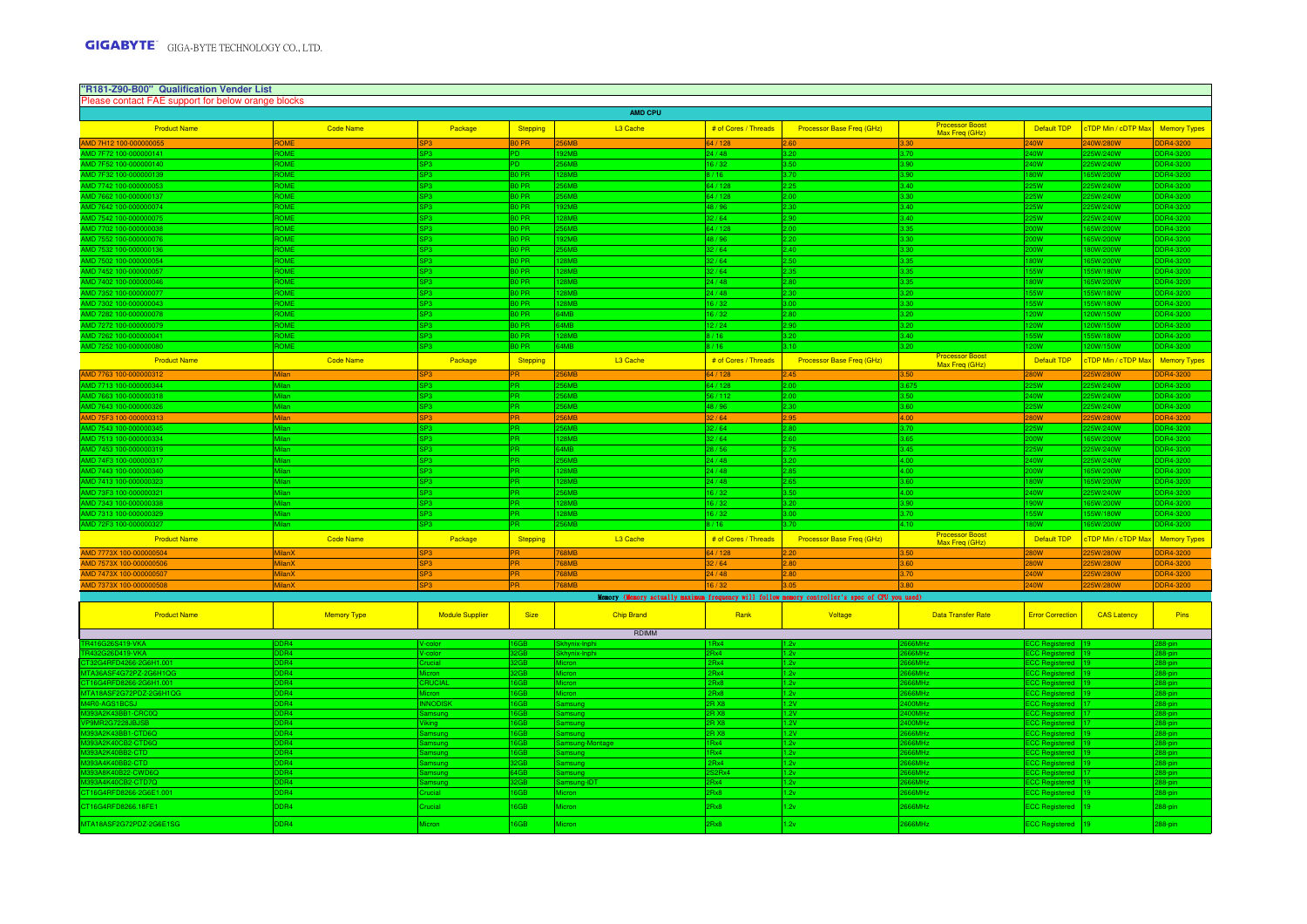| "R181-Z90-B00" Qualification Vender List<br>Please contact FAE support for below orange blocks |                               |                        |                        |                         |                                |                                                                                                 |                                          |                                         |                            |                      |
|------------------------------------------------------------------------------------------------|-------------------------------|------------------------|------------------------|-------------------------|--------------------------------|-------------------------------------------------------------------------------------------------|------------------------------------------|-----------------------------------------|----------------------------|----------------------|
|                                                                                                |                               |                        |                        | AMD CPU                 |                                |                                                                                                 |                                          |                                         |                            |                      |
| <b>Product Name</b>                                                                            | <b>Code Name</b>              | Package                | Stepping               | L3 Cache                | # of Cores / Threads           | <b>Processor Base Freq (GHz)</b>                                                                | Processor Boost<br>Max Freg (GHz)        | Default TDP                             | <b>CTDP Min / cDTP Max</b> | <b>Memory Types</b>  |
| MD 7H12 100-000000055                                                                          | <b>ROME</b>                   | <b>SP3</b>             | <b>BO PR</b>           | <b>256MB</b>            | 64/128                         | 2.60                                                                                            | 3.30                                     | <b>240W</b>                             | <b>ANW/280W</b>            | DR4-3200             |
| AD 7F72 100-000000141                                                                          | <b>OMF</b>                    | P3                     |                        | 2MB                     | 24 / 48                        | 3.20                                                                                            | 3.70                                     | 40W                                     | 5W/240W                    | DR4-3200             |
| MD 7F52 100-000000140                                                                          | <b>ROME</b>                   | SP3                    | PD.                    | 56MR                    | 16/32                          | 3.50                                                                                            | 3.90                                     | 240W                                    | 25W/240W                   | DR4-3200             |
| MD 7E32 100-000000139                                                                          | <b>COME</b>                   | P3                     | 30 PR                  | 28MB                    | 8/16                           | 3.70                                                                                            | 3.90                                     | 80W                                     | 65W/200W                   | DR4-3200             |
| MD 7742 100-000000053                                                                          | ROME<br>ROME                  | P3                     | 30 PR                  | 56MB<br><b>56MR</b>     | 64 / 128                       | 2.25                                                                                            | 3.40                                     | <b>5W</b>                               | 5W/240W                    | DR4-3200             |
| MD 7662 100-000000137<br>MD 7642 100-000000074                                                 | <b>OMF</b>                    | P3<br>P3               | 0 PR<br>0 PR           | 92MB                    | 64 / 128<br>48/96              | 2.00<br>2.30 <sub>1</sub>                                                                       | 3.30<br>3.40                             | 25W<br>25W                              | 25W/240W<br>5W/240W        | DR4-3200<br>DR4-3200 |
| AMD 7542 100-000000075                                                                         | <b>ROME</b>                   | SP3                    | B <sub>0</sub> PR      | <b>28MB</b>             | 32/64                          | 2.90                                                                                            | 3.40                                     | 25W                                     | 25W/240W                   | DR4-3200             |
| AMD 7702 100-000000038                                                                         | ROME                          | P3                     | 30 PR                  | <b>56MR</b>             | 64 / 128                       | 2.00                                                                                            | 3.35                                     | <b>WOC</b>                              | 65W/200W                   | DR4-3200             |
| MD 7552 100-000000076                                                                          | <b>OMF</b>                    | P3                     | 0 PR                   | 2MB                     | 48 / 96                        | 2.20                                                                                            |                                          | nw                                      | 5W/200W                    | DR4-3200             |
| VID 7532 100-000000136                                                                         | <b>COME</b>                   | P3                     | 0 PR                   | <b>56MB</b>             | 32/64                          | 2.40                                                                                            | 3.30                                     | <b>OW</b>                               | 30W/200W                   | DR4-3200             |
| MD 7502 100-000000054                                                                          | <b>IOME</b>                   | P3                     | 0 PR                   | <b>28MB</b>             | 32/64                          | 2.50                                                                                            | 3.35                                     | 30W                                     | 65W/200W                   | DR4-3200             |
| MD 7452 100-000000057                                                                          | OME                           | P3                     | 0 PR                   | <b>28MB</b>             | 2/64                           | 2.35                                                                                            |                                          | 55W                                     | 5W/180W                    | DR4-3200             |
| MD 7402 100-000000046                                                                          | <b>OME</b>                    | P3                     | 0 PR                   | <b>28MB</b>             | 24/48                          | 2.80                                                                                            | 3.35                                     | 80W                                     | 65W/200W                   | DR4-3200             |
| MD 7352 100                                                                                    | <b>OME</b>                    | P3                     | 0 PR                   | 8MB                     | 24/48                          | 2.30                                                                                            |                                          | 55W                                     | 5W/180W                    | R4-3200              |
| MD 7302 100-000000043                                                                          | <b>ROME</b>                   | SP3                    | BO PR                  | 28MR                    | 16/32                          | 3.00 <sub>1</sub>                                                                               | 3.30                                     | <b>ISSW</b>                             | 55W/180W                   | DR4-3200             |
| VID 7282 100-00000007<br>MD 7272 100-00000007                                                  | <b>OMF</b><br><b>ROME</b>     | P3<br>P3               | 0 PR<br>0 PR           | 34MB<br>34MB            | 6/32<br>12/24                  | 2.80<br>2.90                                                                                    | 3.20                                     | 20W<br><b>20W</b>                       | 0W/150W<br>20W/150W        | DR4-3200<br>DR4-3200 |
| MD 7262 100-000000041                                                                          | <b>ROME</b>                   | SP3                    | 30 PR                  | <b>28MB</b>             | 8/16                           | 3.20                                                                                            | 3.40                                     | 55W                                     | 55W/180W                   | DR4-3200             |
| MD 7252 100-000000080                                                                          | <b>ROMF</b>                   | P3                     | 30 PR                  | <b>AMB</b>              | 8/16                           | 3.10 <sub>1</sub>                                                                               | 3.20                                     | 20W                                     | W051/W09                   | DR4-3200             |
| <b>Product Name</b>                                                                            | <b>Code Name</b>              | Package                | Stepping               | L3 Cache                | # of Cores / Threads           | <b>Processor Base Freq (GHz)</b>                                                                | Processor Boost<br>Max Freq (GHz)        | Default TDP                             | cTDP Min / cTDP Max        | <b>Memory Types</b>  |
| MD 7763 100-00000031                                                                           | <b>Milar</b>                  |                        |                        | <b>56MF</b>             | 64 / 128                       |                                                                                                 |                                          |                                         |                            |                      |
| MD 7713 100-000000344                                                                          | Milan                         | P3                     | R.                     | 56MB                    | 64 / 128                       | 2.00                                                                                            |                                          | 25W                                     | 5W/240W                    | DR4-3200             |
| MD 7663 100-000000318                                                                          | Milan                         | P3                     | PR.                    | <b>56MR</b>             | 56/112                         | 2.00                                                                                            | 3.50                                     | 40W                                     | 25W/240W                   | DR4-3200             |
| MD 7643 100-000000326                                                                          | Milan                         | P3                     | PR.                    | <b>56MR</b>             | 48 / 96                        | 2.30                                                                                            | 3.60                                     | 25W                                     | 25W/240W                   | DR4-3200             |
| MD 75E3 100-000000313                                                                          | Milan                         | SP3                    | PR.                    | 256MB                   | 32/64                          | 2.95                                                                                            | 4.00                                     | <b>W08</b>                              | 25W/280W                   | <b>DDR4-3200</b>     |
| MD 7543 100-<br>0345                                                                           | Ailan                         | P3.                    | PR.                    | 56MB                    | 2/64                           | 2.80                                                                                            | 3.70                                     | 25W                                     | 5W/240W                    | DR4-3200             |
| MD 7513 100-000000334                                                                          |                               | P3                     | <b>OC</b><br>PR.       | <b>ORMR</b>             | 32/64                          | 2.60                                                                                            | 3.85                                     | OW                                      | 5W/200W                    | DR4-3200             |
| MD 7453 100-000000319<br>MD 74F3 100-000000317                                                 |                               | P3<br>P3               | <b>PR</b>              | 64MB<br>56MB            | 28/56<br>24/48                 | 2.75<br>3.20                                                                                    | 3.45<br>4.00                             | 25W<br>40W                              | 5W/240W<br>5W/240W         | DR4-3200<br>DR4-3200 |
| MD 7443 100-000000340                                                                          | Milan                         | P3                     | R                      | <b>28MR</b>             | 24/48                          | 2.85                                                                                            | 4.00                                     | <b>OW</b>                               | 5W/200W                    | DR4-3200             |
| MD 7413 100-000000323                                                                          | Milan                         | P3                     | œ.                     | <b>28MR</b>             | 24/48                          | 2.65                                                                                            | חם ג                                     | 80W                                     | 65W/200W                   | DR4-3200             |
| MD 73F3 100-000000321                                                                          |                               | P3                     | PR.                    | <b>56MB</b>             | 16/32                          | 3.50                                                                                            | 4.00                                     | 40W                                     | 5W/240W                    | DR4-3200             |
| <b>MD 73431</b>                                                                                |                               | P3                     | R                      | <b>RMF</b>              | 6/32                           | 3.20                                                                                            | a an                                     | 90W                                     | 5W/200W                    | DR4-3200             |
| MD 7313 100                                                                                    | Milan                         | SP3                    | PR.                    | <b>28MR</b>             | 16/32                          | 3.00 <sub>1</sub>                                                                               | 3.70                                     | 55W                                     | 55W/180W                   | DR4-3200             |
| MD 72F3 100-00000032                                                                           |                               | P <sub>3</sub>         | R.                     | <b>56MB</b>             | 8/16                           | .70 <sub>1</sub>                                                                                | 4.10                                     | 30W                                     | 5W/200W                    | DR4-3200             |
| <b>Product Name</b>                                                                            | <b>Code Name</b>              | Package                | Stepping               | L3 Cache                | # of Cores / Threads           | <b>Processor Base Freq (GHz)</b>                                                                | <b>Processor Boost</b><br>Max Freq (GHz) | Default TDP                             | <b>CTDP Min / cTDP Max</b> | <b>Memory Types</b>  |
| AMD 7773X 100-000000504                                                                        | <b>MilanX</b>                 | P3                     |                        | 68MB                    | 4 / 128                        |                                                                                                 |                                          | <b>OW</b>                               | 5W/280W                    | DR4-3200             |
| AMD 7573X 100-000000506                                                                        | MilanX                        | SP3                    | PR.                    | <b>68MB</b>             | 32/64                          | 80 <sub>2</sub>                                                                                 | 0a.8                                     | <b>W08</b>                              | 25W/280W                   | DDR4-3200            |
| AMD 7473X 100-00000050                                                                         | <b>MilanX</b>                 | P3                     | PR.                    | 768MB<br><b>GRMF</b>    | 24/48                          | .80                                                                                             |                                          | 240W<br><b>OW</b>                       | 25W/280W                   | DDR4-3200            |
|                                                                                                | <b>MilanX</b>                 |                        |                        |                         |                                |                                                                                                 |                                          |                                         |                            |                      |
|                                                                                                |                               |                        |                        |                         |                                | Memory (Memory actually maximum frequency will follow memory controller's spec of CPU you used) |                                          |                                         |                            |                      |
| <b>Product Name</b>                                                                            | <b>Memory Type</b>            | <b>Module Supplier</b> | <b>Size</b>            | <b>Chip Brand</b>       | Rank                           | Voltage                                                                                         | <b>Data Transfer Rate</b>                | <b>Error Correction</b>                 | <b>CAS Latency</b>         | Pins                 |
|                                                                                                |                               |                        |                        | RDIMM                   |                                |                                                                                                 |                                          |                                         |                            |                      |
|                                                                                                |                               |                        |                        |                         | Rv4                            |                                                                                                 |                                          | :C Re                                   |                            |                      |
|                                                                                                |                               |                        | <b>CR</b>              |                         | Rv4                            | 2v                                                                                              |                                          | ЮR.<br>۵d                               |                            |                      |
|                                                                                                |                               |                        | <b>CR</b>              |                         | <b>Rv4</b>                     |                                                                                                 | <b>GML</b>                               |                                         |                            |                      |
|                                                                                                |                               |                        | <b>GB</b>              |                         | Rx4                            | 1.2v                                                                                            | <b>HMA</b>                               | C R                                     |                            |                      |
| 2GBH100<br><b>PDZ-2G6H1OG</b>                                                                  | <b>ARA</b><br>DR <sub>4</sub> | RUCIAL<br>licron       | 6G <sub>B</sub><br>6GB | licron                  | 2Rx8<br>2Rx8                   | 1.2v<br>1.2v                                                                                    | <b>HMAR</b><br><b>HMAR</b>               | C R<br>CC Re                            |                            |                      |
|                                                                                                |                               | <b>INODIS</b>          | <b>GB</b>              |                         | R X <sub>8</sub>               | 1.2V                                                                                            | <b>MAOC</b>                              | ed<br>to B                              |                            | 88-pin               |
|                                                                                                |                               |                        | <b>GB</b>              |                         | R X8                           | 1.2V                                                                                            | 00MH                                     | C R                                     |                            |                      |
| <b>IR.IS</b>                                                                                   | ea                            |                        | 6GB                    |                         | PR X8                          | 1.2V                                                                                            | DOMH:                                    | C R<br>he                               |                            |                      |
| 1-CTD60                                                                                        | D <sub>R4</sub>               |                        | 6GB                    |                         | PR X8                          | 1.2V                                                                                            | 66MH <sub>z</sub>                        | CC Re<br>ed -                           |                            | 88-ni                |
| -CTD6O                                                                                         | DR <sub>4</sub>               | amsund                 | 6GB                    | amsung-Montage          | 1Rx4                           | 1.2v                                                                                            | 66MHz                                    | CC Re<br>ed l                           |                            | 88-nii               |
| <b>CTD</b><br>2-CTD                                                                            | DR <sub>4</sub><br>DDR4       | amsund                 | 6GB<br>2GB             | amsung                  | 1Rx4<br>2Rx4                   | 1.2v<br>1.2v                                                                                    | 66MHz<br><b>SGMH<sub>z</sub></b>         | <b>ECC Red</b><br>ed -<br>CC Reg<br>red |                            | 88-nii<br>88-pii     |
| -CWD6Q                                                                                         | DR4                           | imsund                 | 4GB                    | amsung<br><b>umsung</b> | S <sub>2</sub> R <sub>x4</sub> | 1.2v                                                                                            | <b>S6MHz</b>                             | <b>CC Registered</b>                    |                            | 88-pir               |
| 93A4K40CB2-CTD7Q                                                                               | DR4                           | amsund                 | 2GB                    | amsung-IDT              | Rx4                            | 1.2v                                                                                            | S6MH <sub>z</sub>                        | <b>CC Registered</b>                    |                            | 88-pir               |
| T16G4RFD8266-2G6E1.001                                                                         | DR <sub>4</sub>               | rucial                 | 6GB                    | icron                   | Rx8                            | 2v                                                                                              | 66MHz                                    | <b>CC Registered</b>                    |                            | 88-pin               |
| CT16G4RFD8266.18FE1                                                                            | DDR4                          | cucial                 | 6GB                    | licron                  | 2Rx8                           | 1.2v                                                                                            | 666MHz                                   | <b>ECC Registered</b>                   |                            | 288-pin              |
| MTA18ASF2G72PDZ-2G6E1SG                                                                        | DDR4                          | <b>Aicron</b>          | 6GB                    | Micron                  | 2Rx8                           | 1.2v                                                                                            | <b>SAAAAA</b>                            | <b>ECC Registered</b>                   | 19                         | 288-pin              |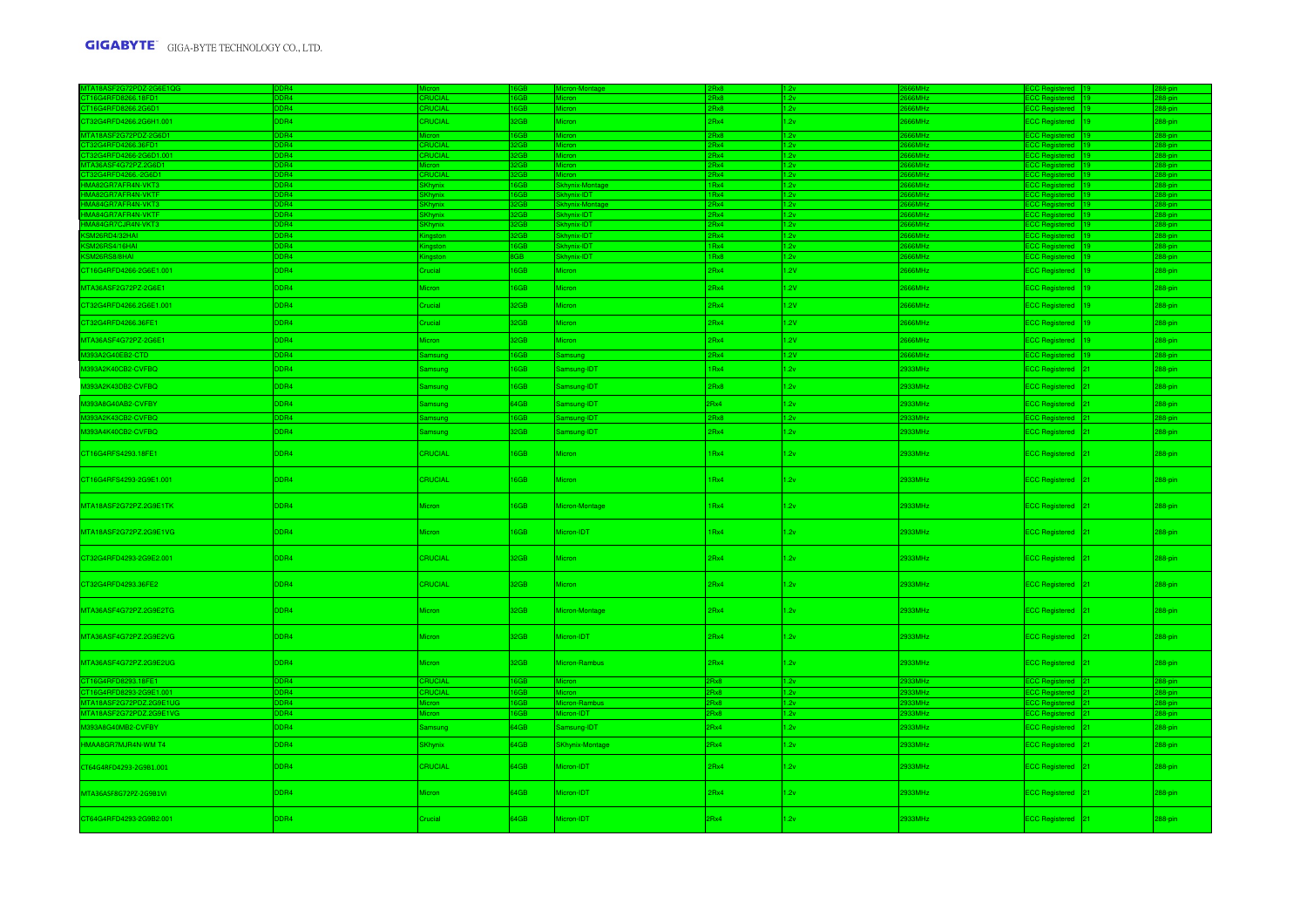| CT32G4RFD4266.2G6H1.001                                                                                                                                                                                                                | DDR4            | <b>CRUCIAL</b>       | 32GB       | Micron                 | 2Rx4         | 2v           | 666MHz                                             | ECC Registered   19                 |                 | 288-pin         |
|----------------------------------------------------------------------------------------------------------------------------------------------------------------------------------------------------------------------------------------|-----------------|----------------------|------------|------------------------|--------------|--------------|----------------------------------------------------|-------------------------------------|-----------------|-----------------|
| MTA18ASF2G72PDZ-2G6D1                                                                                                                                                                                                                  | DR <sub>4</sub> | <i><b>Micron</b></i> | <b>RGR</b> |                        | 2Rx8         | 1.2v         | S66MH <sub>7</sub>                                 | <b>ECC Registered</b> 19            |                 | $288 - \sin$    |
| MAT8AS-2372PD/223B0<br>CT32G4RFD4266-26601.001<br>CT32G4RFD4266-26601.001<br>MT436ASF4G72P2.266D1<br>CT32G4RFD4266-26601<br>HMA82GR7AFR4N-WKT3<br>HMA84GR7AFR4N-WKT3<br>HMA84GR7AFR4N-WKT3<br>HMA84GR7AFR4N-WKT3<br>HMA84GR7AFR4N-WKT3 | DR4             | <b>RUCIAL</b>        |            |                        | 2Rx4         | 1.2v         | <b>GRMH<sub>2</sub></b>                            | CC Re<br>ed 1                       |                 | <b>R</b> -nir   |
|                                                                                                                                                                                                                                        | DR4             | <b>RUCIAL</b>        |            |                        | 2Rx4         | 1.2v         | <b>SAMH</b>                                        | ad 19                               |                 |                 |
|                                                                                                                                                                                                                                        | DR <sub>4</sub> |                      |            |                        | 2Rx4         | 2v           | 66MHz                                              |                                     |                 |                 |
|                                                                                                                                                                                                                                        | DR4<br>DR4      | CRUCIAL              | <b>GGR</b> | Skhynix-Montag         | 2Rx4<br>1Rx4 | 1.2v         | <b>GRMH<sub>7</sub></b><br><b>GRMH<sub>7</sub></b> | <b>CC Red</b><br>ed 19<br>ared 19   |                 | 88-nin          |
|                                                                                                                                                                                                                                        | OR4             |                      |            | khynix-IDT             | 1Rx4         | 1.2v<br>1.2v | 66MHz                                              | <b>ECC Regi</b><br>CC Registered 19 |                 | 88-pin<br>8-pin |
|                                                                                                                                                                                                                                        | DR <sub>4</sub> |                      |            | <b>Skhynix-Monta</b>   | 2Rx4         | 1.2v         | 66MHz                                              | CC Registered 19                    |                 | 88-pin          |
|                                                                                                                                                                                                                                        | DR4             |                      |            | nix-IDT                | 2Rx4         | 1.2v         | 6MH <sub>z</sub>                                   | CC Regist                           |                 | 88-pin          |
| HMA84GR7CJR4N-VKT3                                                                                                                                                                                                                     | DR4             | Khynix               | 2GB        | <b>Skhynix-IDT</b>     | 2Rx4         | 1.2v         | <b>S6MHz</b>                                       | <b>ECC Registered</b>               |                 | 288-pin         |
| KSM26RD4/32HAI                                                                                                                                                                                                                         | DR4             | ngston               |            | khynix-IDT             | 2Rx4         | .2v          | 66MHz                                              | CC Registered                       |                 | 88-pin          |
| KSM26RS4/16HAI                                                                                                                                                                                                                         | DR4             | gston                | <b>BGB</b> | hynix-IDT              | 1Rx4         | 2v           | 66MHz                                              | ECC Registered 19                   |                 | 88-pin          |
| KSM26RS8/8HAI                                                                                                                                                                                                                          | DR4             | ngston               | <b>BGB</b> | khynix-IDT             | 1Rx8         | 1.2v         | 66MHz                                              | <b>ECC Registered</b>               |                 | 88-pin          |
|                                                                                                                                                                                                                                        | DDR4            |                      |            |                        |              |              |                                                    |                                     |                 |                 |
| CT16G4RFD4266-2G6E1.001                                                                                                                                                                                                                |                 | Crucial              | 16GB       | Micron                 | 2Rx4         | 1.2V         | 666MHz                                             | <b>ECC Registered</b>               | 19              | 288-pin         |
| MTA36ASF2G72PZ-2G6E1                                                                                                                                                                                                                   | DDR4            | Micron               | 16GB       | Micron                 | 2Rx4         | 1.2V         | 666MHz                                             | <b>ECC Registered</b>               | 19              | 288-pin         |
| CT32G4RFD4266.2G6E1.001                                                                                                                                                                                                                | DDR4            | Crucial              | 32GB       | Micron                 | 2Rx4         | 1.2V         | S66MHz                                             | <b>ECC Registered</b>               | 19.             | 288-pin         |
| CT32G4RFD4266.36FE1                                                                                                                                                                                                                    | DDR4            | Crucial              | 32GB       | Micron                 | 2Rx4         | 1.2V         | 866MHz                                             | <b>ECC Registered</b>               | 19              | 288-pin         |
| MTA36ASF4G72PZ-2G6E1                                                                                                                                                                                                                   | DDR4            | Micron               | 32GB       | Micron                 | 2Rx4         | 1.2V         | 666MHz                                             | <b>ECC Registered</b>               | 19              | 288-pin         |
| M393A2G40EB2-CTD                                                                                                                                                                                                                       | DR4             | amsung               | 6GB        | amsung                 | 2Rx4         | 1.2V         | <b>S66MHz</b>                                      | <b>ECC Registered</b>               |                 | 288-pin         |
| M393A2K40CB2-CVFBQ                                                                                                                                                                                                                     | DDR4            | Samsung              | 16GB       | amsung-IDT             | 1Rx4         | 1.2v         | 933MHz                                             | <b>ECC Registered</b>               |                 | 288-pin         |
| M393A2K43DB2-CVFBQ                                                                                                                                                                                                                     | DDR4            | amsung               | 16GB       | amsung-IDT             | 2Rx8         | 2v           | 933MHz                                             | <b>ECC Registered</b>               |                 | 288-pin         |
| M393A8G40AB2-CVFBY                                                                                                                                                                                                                     | DDR4            | Samsung              | 64GB       | amsung-IDT             | 2Rx4         | 1.2v         | 933MHz                                             | <b>ECC Registered</b>               | 21.             | 288-pin         |
| M393A2K43CB2-CVFBQ                                                                                                                                                                                                                     | DDR4            | Samsung              | 16GB       | amsung-IDT             | 2Rx8         | 1.2v         | 933MHz                                             | ECC Registered 21                   |                 | 288-pin         |
| M393A4K40CB2-CVFBQ                                                                                                                                                                                                                     | DDR4            | Samsung              | 32GB       | Samsung-IDT            | 2Rx4         | 1.2v         | 933MHz                                             | <b>ECC Registered</b>               |                 | 288-pin         |
| CT16G4RFS4293.18FE1                                                                                                                                                                                                                    | DDR4            | <b>CRUCIAL</b>       | 16GB       | Micron                 | 1Rx4         | 1.2v         | 933MHz                                             | <b>ECC Registered</b>               |                 | 288-pin         |
| CT16G4RFS4293-2G9E1.001                                                                                                                                                                                                                | DDR4            | <b>CRUCIAL</b>       | 16GB       | Micron                 | 1Rx4         | 1.2v         | 2933MHz                                            | <b>ECC Registered</b>               | 21 <sup>2</sup> | 288-pin         |
| MTA18ASF2G72PZ.2G9E1TK                                                                                                                                                                                                                 | DDR4            | Micron               | 16GB       | Micron-Montage         | 1Rx4         | 1.2v         | 933MHz                                             | <b>ECC Registered</b>               | 21              | 288-pin         |
| MTA18ASF2G72PZ.2G9E1VG                                                                                                                                                                                                                 | DDR4            | Micron               | 16GB       | Micron-IDT             | 1Rx4         | 1.2v         | 2933MHz                                            | <b>ECC Registered</b>               | 21              | 288-pin         |
| CT32G4RFD4293-2G9E2.001                                                                                                                                                                                                                | DDR4            | CRUCIAL              | 32GB       | Micron                 | 2Rx4         | 1.2v         | 933MHz                                             | <b>ECC Registered</b>               | 21              | 288-pin         |
| CT32G4RFD4293.36FE2                                                                                                                                                                                                                    | DDR4            | <b>CRUCIAL</b>       | 32GB       | Micron                 | 2Rx4         | 1.2v         | 933MHz                                             | <b>ECC Registered</b>               | 21              | 288-pin         |
| MTA36ASF4G72PZ.2G9E2TG                                                                                                                                                                                                                 | DDR4            | Micron               | 32GB       | Micron-Montage         | 2Rx4         | 1.2v         | 933MHz                                             | <b>ECC Registered</b>               | 21              | 288-pin         |
| MTA36ASF4G72PZ.2G9E2VG                                                                                                                                                                                                                 | DDR4            | Micron               | 32GB       | Micron-IDT             | 2Rx4         | 1.2v         | 2933MHz                                            | ECC Registered 21                   |                 | 288-pin         |
| MTA36ASF4G72PZ.2G9E2UG                                                                                                                                                                                                                 | DDR4            | Micron               | 32GB       | Micron-Rambus          | 2Rx4         | 1.2v         | 933MHz                                             | <b>ECC Registered</b>               | 21.             | 288-pin         |
| CT16G4RFD8293.18FE1                                                                                                                                                                                                                    | DDR4            | <b>CRUCIAL</b>       | 16GB       | Mieron                 | 2Rx8         | 1.2v         | <b>933MHz</b>                                      | ECC Registered 21                   |                 | 288-pin         |
| CT16G4RFD8293-2G9E1.001                                                                                                                                                                                                                | DR <sub>4</sub> | CRUCIAL              | 16GB       | Mieron.                | 2Rx8         | 1.2v         | 33MHz                                              | ECC Registered 21                   |                 | 288-pin         |
| MTA18ASF2G72PDZ.2G9E1UG                                                                                                                                                                                                                | DR4             | <b>Micron</b>        | 16GB       | Micron-Rambus          | 2Rx8         | 1.2v         | 33MHz                                              | ECC Registered                      |                 | 288-pin         |
| MTA18ASF2G72PDZ.2G9E1VG                                                                                                                                                                                                                | DR4             | Micron               | 16GB       | Micron-IDT             | 8xRs         | 1.2v         | 933MHz                                             | <b>ECC Registered</b>               |                 | 288-pin         |
| M393A8G40MB2-CVFBY                                                                                                                                                                                                                     | DDR4            | Samsung              | 64GB       | Samsung-IDT            | 2Rx4         | 1.2v         | 933MHz                                             | <b>ECC Registered</b>               |                 | 288-pin         |
| HMAA8GR7MJR4N-WM T4                                                                                                                                                                                                                    | DDR4            | <b>SKhynix</b>       | 64GB       | <b>SKhynix-Montage</b> | 2Rx4         | 1.2v         | 933MHz                                             | <b>ECC Registered</b>               |                 | 288-pin         |
| CT64G4RFD4293-2G9B1.001                                                                                                                                                                                                                | DDR4            | <b>CRUCIAL</b>       | 64GB       | Micron-IDT             | 2Rx4         | 2v           | 2933MHz                                            | <b>ECC Registered</b>               | 21 <sup>2</sup> | 288-pin         |
| MTA36ASF8G72PZ-2G9B1VI                                                                                                                                                                                                                 | DDR4            | Micron               | 64GB       | Micron-IDT             | 2Rx4         | 2v           | 933MHz                                             | <b>ECC Registered</b>               | 21              | 288-pin         |
| CT64G4RFD4293-2G9B2.001                                                                                                                                                                                                                | DDR4            | Crucial              | 64GB       | Micron-IDT             | 2Rx4         | 2v           | 2933MHz                                            | <b>ECC Registered</b>               | 21              | 288-pin         |
|                                                                                                                                                                                                                                        |                 |                      |            |                        |              |              |                                                    |                                     |                 |                 |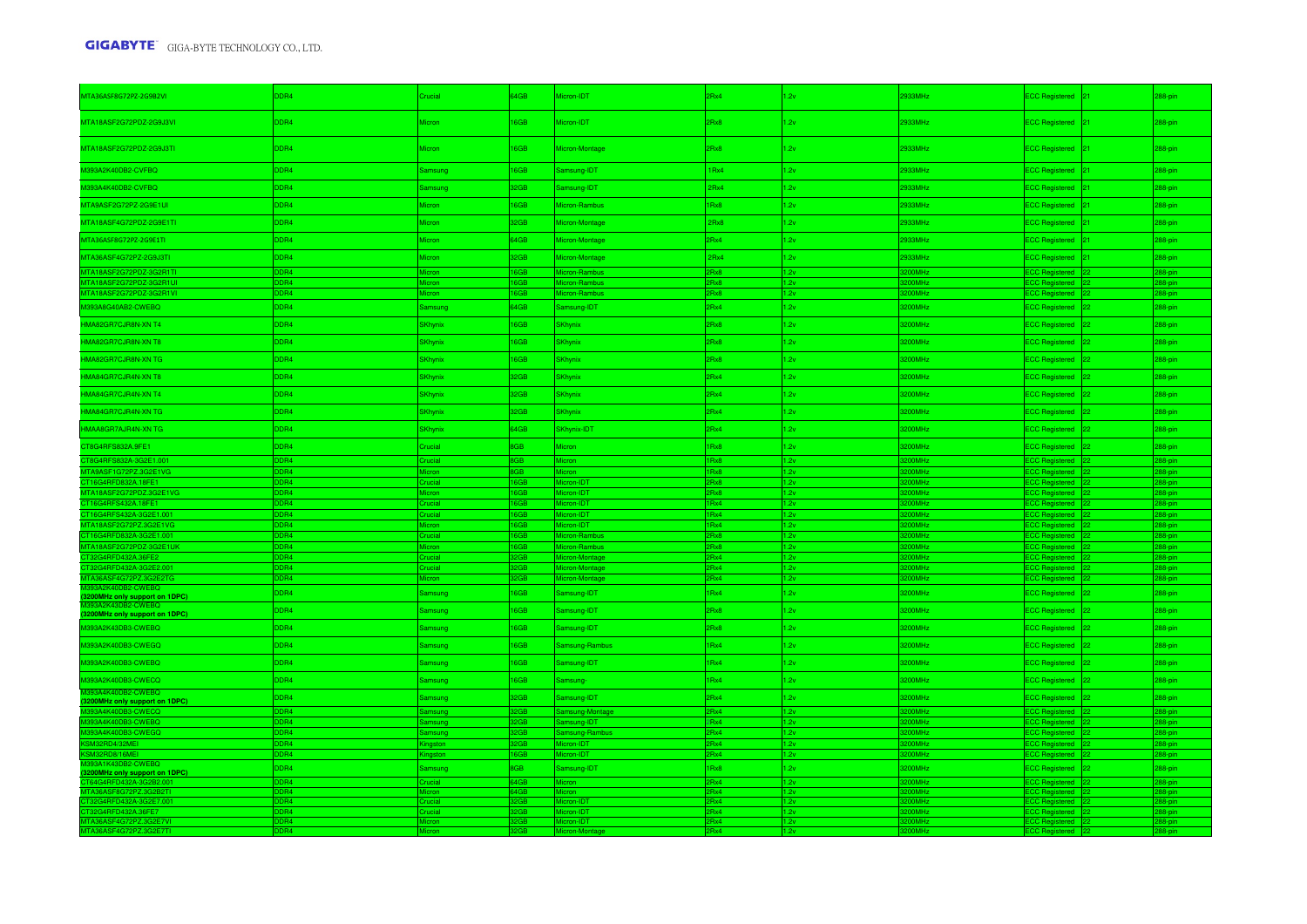| MTA36ASF8G72PZ-2G9B2VI                               | DR4                                 | hucial           | 64GB               | Micron-IDT                       | 2Rx4                    | 2v                       | 933MHz                           | ECC Registered 21                            | 288-pin            |
|------------------------------------------------------|-------------------------------------|------------------|--------------------|----------------------------------|-------------------------|--------------------------|----------------------------------|----------------------------------------------|--------------------|
|                                                      |                                     |                  |                    |                                  |                         |                          |                                  |                                              |                    |
| MTA18ASF2G72PDZ-2G9J3VI                              | DDR4                                | Micron           | 16GB               | Micron-IDT                       | 2Rx8                    | 2v                       | 2933MHz                          | ECC Registered 21                            | 288-pin            |
| MTA18ASF2G72PDZ-2G9J3TI                              | DDR4                                | Micron           | 16GB               | Micron-Montage                   | 2Rx8                    | 1.2v                     | 2933MHz                          | ECC Registered 21                            | 288-pin            |
| M393A2K40DB2-CVFBQ                                   | DDR4                                | Samsung          | 16GB               | Samsung-IDT                      | 1Rx4                    | 1.2v                     | 2933MHz                          | ECC Registered 21                            | 288-pin            |
| M393A4K40DB2-CVFBQ                                   | DDR4                                | <b>Samsung</b>   | 32GB               | Samsung-IDT                      | 2Rx4                    | 1.2v                     | 2933MHz                          | ECC Registered 21                            | 288-pin            |
| MTA9ASF2G72PZ-2G9E1UI                                | DDR4                                | <b>Micron</b>    | 16GB               | Micron-Rambus                    | 1Rx8                    | 1.2v                     | 2933MHz                          | ECC Registered 21                            | 288-pin            |
| MTA18ASF4G72PDZ-2G9E1TI                              | DDR4                                | Micron           | 32GB               | Micron-Montage                   | 2Rx8                    | 1.2v                     | 2933MHz                          | ECC Registered 21                            | 288-pin            |
| MTA36ASF8G72PZ-2G9E1TI                               | DDR4                                | <b>Micron</b>    | 64GB               | Micron-Montage                   | 2Rx4                    | 1.2v                     | 2933MHz                          | ECC Registered 21                            | 288-pin            |
| MTA36ASF4G72PZ-2G9J3TI                               | DDR4                                | Micron           | 32GB               | Micron-Montage                   | 2Rx4                    | 1.2v                     | 933MHz                           | ECC Registered 21                            | 288-pin            |
| MTA18ASF2G72PDZ-3G2R1TI                              | DR4                                 |                  | 16GB               | Micron-Rambus                    | <b>RyR</b>              | 1.2v                     | <b>OMH:</b>                      | ECC Registered 22                            | 288-pi             |
| MTA18ASF2G72PDZ-3G2R1UI                              | DR4                                 | Micron           | 6GB                | Micron-Rambu                     | <b>R</b> v <sub>R</sub> | 1.2v                     | <b>MMH<sub>2</sub></b>           | C Registered 22                              | 8-pin              |
| MTA18ASF2G72PDZ-3G2R1VI                              | DR <sub>4</sub>                     | Micron           | 16GB               | Micron-Rambus                    | Rx8                     | 1.2v                     | 00MHz                            | CC Registered 22                             | 88-pin             |
| M393A8G40AB2-CWEBQ                                   | DDR4                                | Samsung          | 64GB               | Samsung-IDT                      | 2Rx4                    | 1.2v                     | 200MHz                           | ECC Registered 22                            | 288-pin            |
| HMA82GR7CJR8N-XN T4                                  | DDR4                                | <b>SKhynix</b>   | 16GB               | <b>SKhynix</b>                   | 2Rx8                    | 1.2v                     | 200MHz                           | ECC Registered 22                            | 288-pin            |
| HMA82GR7CJR8N-XN T8                                  | DDR4                                | SKhynix          | 16GB               | <b>SKhynix</b>                   | 2Rx8                    | 1.2v                     | 200MHz                           | ECC Registered 22                            | 288-pin            |
| HMA82GR7CJR8N-XN TG                                  | DDR4                                | <b>SKhynix</b>   | 16GB               | <b>SKhynix</b>                   | 2Rx8                    | 1.2v                     | 3200MHz                          | ECC Registered 22                            | 288-pin            |
| HMA84GR7CJR4N-XN T8                                  | DDR4                                | <b>SKhynix</b>   | 32GB               | <b>SKhynix</b>                   | 2Rx4                    | 1.2v                     | 200MHz                           | ECC Registered 22                            | 288-pin            |
| HMA84GR7CJR4N-XN T4                                  | DDR4                                | <b>SKhynix</b>   | 32GB               | <b>SKhynix</b>                   | 2Rx4                    | 2v                       | 200MHz                           | ECC Registered 22                            | 288-pin            |
| HMA84GR7CJR4N-XN TG                                  | DDR4                                | <b>SKhynix</b>   | 32GB               | <b>SKhynix</b>                   | 2Rx4                    | 1.2v                     | 200MHz                           | ECC Registered 22                            | 288-pin            |
| HMAA8GR7AJR4N-XN TG                                  | DDR4                                | <b>SKhynix</b>   | 64GB               | SKhynix-IDT                      | 2Rx4                    | 1.2v                     | 200MHz                           | ECC Registered 22                            | 288-pin            |
| CT8G4RFS832A.9FE1                                    | DDR4                                | Crucial          | 8GB                | <b>Micron</b>                    | 1Rx8                    | 1.2v                     | 200MHz                           | ECC Registered 22                            | 288-pin            |
| CT8G4RFS832A-3G2E1.001                               | DDR4                                | Crucial          | 8GB                | <b>Micron</b>                    | 1RyR                    | 1.2v                     | <b>OOMH<sub>2</sub></b>          | ECC Registered 22                            | 288-pin            |
| MTA9ASF1G72PZ.3G2E1VG                                | DR <sub>4</sub>                     | Micror           | 8GB                | Micron                           | 1Rx8                    | 1.2v                     | 00MHz                            | ECC Registered 22                            | 288-pir            |
| CT16G4RFD832A.18FE1                                  | DDR <sub>4</sub>                    | <b>Crucial</b>   | 16GB               | Micron-IDT                       | Rx8                     | 1.2v                     | 00MHz                            | ECC Registered 22                            | 288-pir            |
| MTA18ASF2G72PDZ.3G2E1VG<br>CT16G4RFS432A.18FE1       | D <sub>R4</sub><br>DB4              | nicial           | 16GB<br><b>ROB</b> | Micron-IDT<br>Micron-IDT         | Rx8<br>Ry4              | 1.2v<br>1.2 <sub>V</sub> | OMH <sub>2</sub><br><b>OMH:</b>  | <b>ECC Registered</b> 22<br>CC Registered 22 | $88 - n$           |
| CT16G4RFS432A-3G2E1.001                              | DR <sub>4</sub>                     | rucial           | 16GB               | Micron-IDT                       | Rx4                     | 1.2v                     | <b>OMH</b> :                     | CC Registered 22                             | 88-pir<br>88-pin   |
| MTA18ASF2G72PZ.3G2E1VG                               | DR4                                 |                  | 16GB               | Micron-IDT                       | IRx4                    | 1.2v                     | <b>OMHz</b>                      | ECC Registered 22                            | 88-pin             |
| CT16G4RFD832A-3G2E1.001                              | DR4                                 | nicial           | 6GB                | ron-Rambus                       | Rx8                     | 1.2v                     | OMH <sub>z</sub>                 | ECC Regist<br>red 22                         | 88-pin             |
| MTA18ASF2G72PDZ-3G2E1UK                              | DR <sub>4</sub>                     |                  | 6GB                | Micron-Rambus                    | Rx8                     | 1.2v                     | <b>OMHz</b>                      | ECC Registered 22                            | 288-pin            |
| T32G4RFD432A.36FE2                                   | DR <sub>4</sub>                     | rucial           | 32GB               | Micron-Montage                   | Rx4                     | 1.2v                     | 0MHz                             | CC Registered 22                             | $288$ -pin         |
| T32G4RFD432A-3G2E2.001<br>MTA36ASF4G72PZ.3G2E2TG     | DR <sub>4</sub><br>DDR <sub>4</sub> | rucial<br>Micron | 32GB<br>32GB       | Micron-Montage<br>Micron-Montage | Rx4<br>Rx4              | 1.2 <sub>y</sub><br>1.2v | 00MHz<br>00MHz                   | CC Registered 22<br>ECC Registered 22        | 288-pin<br>288-pin |
| M393A2K40DB2-CWEBQ                                   |                                     |                  |                    |                                  |                         |                          |                                  |                                              |                    |
| (3200MHz only support on 1DPC)                       | DDR4                                | Samsung          | 16GB               | Samsung-IDT                      | 1Rx4                    | 1.2v                     | 200MHz                           | ECC Registered 22                            | 288-pin            |
| 32-CWEBQ<br>(3200MHz only support on 1DPC)           | DDR4                                | Samsung          | 16GB               | Samsung-IDT                      | 2Rx8                    | 1.2v                     | 200MHz                           | ECC Registered 22                            | 288-pin            |
| M393A2K43DB3-CWEBQ                                   | DDR4                                | Samsung          | 16GB               | Samsung-IDT                      | 2Rx8                    | 1.2v                     | 200MHz                           | ECC Registered 22                            | 288-pin            |
| M393A2K40DB3-CWEGQ                                   | DDR4                                | Samsung          | 16GB               | Samsung-Rambus                   | 1Rx4                    | 1.2v                     | 200MHz                           | ECC Registered 22                            | 288-pin            |
| M393A2K40DB3-CWEBQ                                   | DDR4                                | <b>Samsung</b>   | 16GB               | Samsung-IDT                      | 1Rx4                    | 1.2v                     | 3200MHz                          | ECC Registered 22                            | 288-pin            |
| M393A2K40DB3-CWECQ                                   | DDR4                                | Samsung          | 16GB               | Samsung-                         | 1Rx4                    | 1.2v                     | 3200MHz                          | ECC Registered 22                            | 288-pin            |
| M393A4K40DB2-CWEBQ<br>(3200MHz only support on 1DPC) | DDR4                                | Samsung          | 32GB               | Samsung-IDT                      | 2Rx4                    | 1.2v                     | 200MHz                           | ECC Registered 22                            | 288-pin            |
| M393A4K40DB3-CWECQ                                   | DDR4                                | <b>Samsung</b>   | 32GB               | Samsung-Montage                  | Rx4                     | 1.2v                     | 200MHz                           | CC Registered 22                             | 288-pin            |
| M393A4K40DB3-CWEBQ<br>M393A4K40DB3-CWEGQ             | DR <sub>4</sub>                     |                  | 32GB               | amsung-IDT                       | Rx4                     | 1.2v                     | <b>OOMH:</b>                     | CC Registered 22                             | 88-pin             |
|                                                      | DR4                                 | imsung           | 32GB               | Samsung-Rambus                   | Rx4<br><b>Ry4</b>       | 1.2v                     | <b>OOMH</b><br>00MH <sub>2</sub> | ECC Registered 22                            | 288-pin            |
| KSM32RD4/32MEI<br>KSM32RD8/16MEI                     | DR4<br>DR4                          | ingston          | 32GB<br>16GB       | Micron-IDT<br>Micron-IDT         | Rx4                     | 1.2v<br>1.2v             | <b>OMH</b>                       | ECC Registered 22<br>CC Registered 22        | 288-pin<br>88-pir  |
| M393A1K43DB2-CWEBQ                                   |                                     |                  |                    |                                  |                         |                          | 200MHz                           |                                              |                    |
| (3200MHz only support on 1DPC)                       | DDR4                                | Samsung          | 8GB                | Samsung-IDT                      | 1Rx8                    | 1.2v                     |                                  | ECC Registered 22                            | 288-pin            |
| CT64G4RFD432A-3G2B2.001                              | <b>DDRA</b>                         | Crucial          | 64GB<br>64GB       | Mieron                           | Rv4<br>Rv4              | 1.2v                     | <b>MANT</b><br>OMH               | ECC Registered 22                            | <b>288-nir</b>     |
| T32G4RED432A-3G2E7.001                               | <b>DR4</b>                          | rucial           | GB                 | Micron-IDT                       | Rv4                     | 1.2v                     | <b>OMH:</b>                      | C Registered<br>C Registered :               | 88-nin             |
|                                                      | DR4                                 | ucial            |                    | Micron-IDT                       | Rx4                     |                          | <b>OMH:</b>                      | red -                                        | 8-pin              |
|                                                      | DR4                                 |                  |                    | Micron-IDT                       | Rx4                     | 1.2v                     | <b>OMH:</b>                      | ed -                                         | 88-pin             |
| MTA36ASF4G72PZ.3G2E7TI                               | D <sub>R4</sub>                     |                  | 2 <sub>GB</sub>    | Micron-Mo                        | Rx4                     | 1.2v                     |                                  | <b>ECC Regis</b><br>ed $ 22 $                | 288-pin            |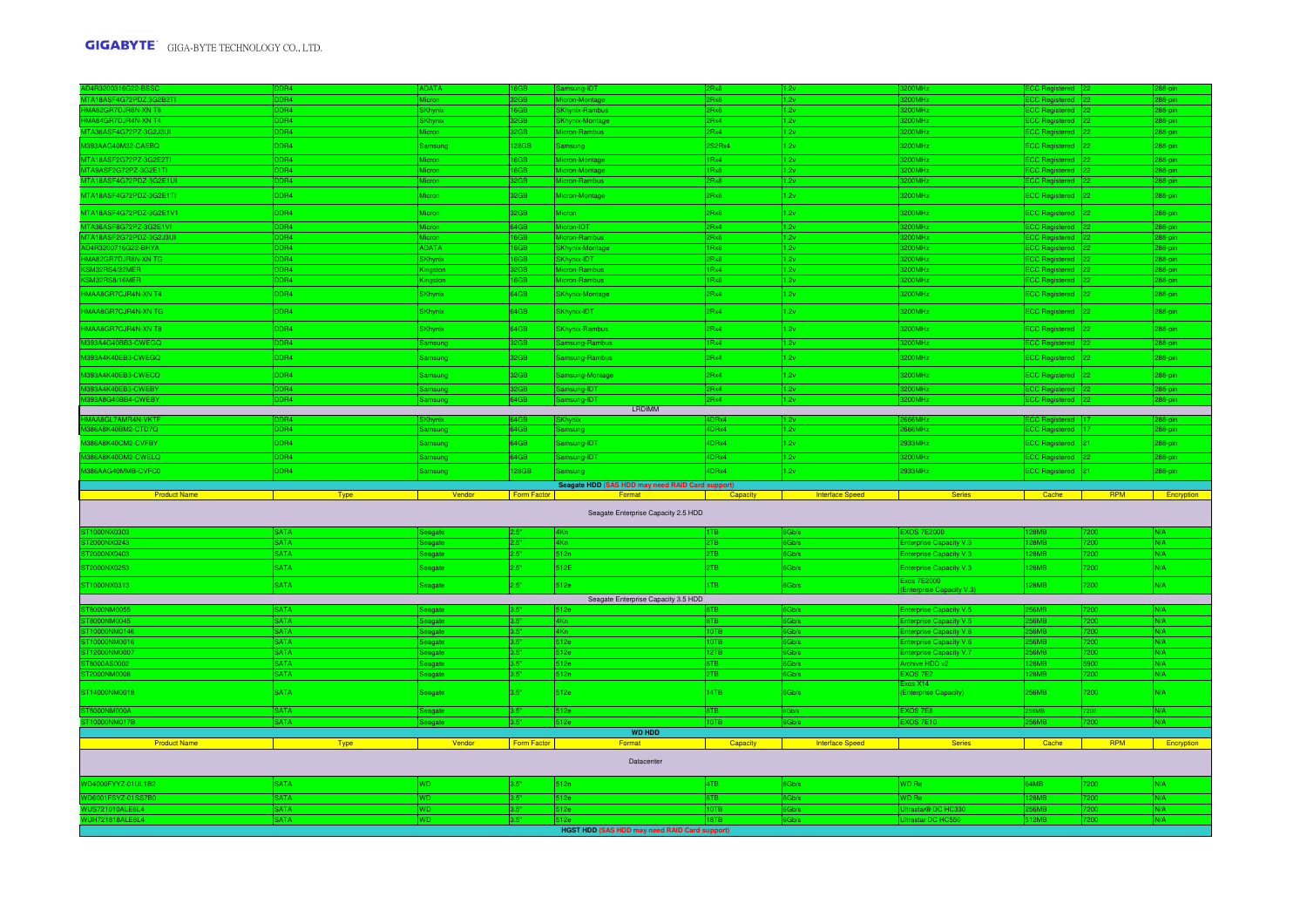| D4R3200316G22-BSSC                               | DR4                      | <b>IDATA</b>                |              | msung-IDT                                        | Rx8               |                        | <b>MAO</b>                              | <b>C Registered</b>         |              | 8-pin      |
|--------------------------------------------------|--------------------------|-----------------------------|--------------|--------------------------------------------------|-------------------|------------------------|-----------------------------------------|-----------------------------|--------------|------------|
| MTA18ASF4G72PDZ.3G2B2TI                          | DR4                      | Micron                      |              | Micron-Montage                                   | Rx8               | 1.2v                   | 200MH <sub>z</sub>                      | CC Registered 22            |              | 88-pin     |
| <b>IMA82GR7DJR8N-XN T8</b><br>MA84GR7DJR4N-XN T4 | DR4                      | <b>SKhyni</b>               | 16GB         | <b>SKhynix-Rambus</b><br><b>SKhynix-Montage</b>  | Rx8<br>Rx4        | 1.2v                   | 200MHz<br>00MH <sub>z</sub>             | CC Registered 22            |              | 288-pin    |
|                                                  | DR4<br>DR4               | 3Khvni)                     | 32GB<br>32GB | Micron-Rambus                                    |                   | 1.2v<br>1.2v           | <b>OOMH<sub>2</sub></b>                 | CC Registe<br>ered 22       |              | 8-oin      |
| MTA36ASF4G72PZ-3G2J3UI                           |                          | Micron                      |              |                                                  | Rx4               |                        |                                         | ECC Registered 22           |              | 88-pin     |
| M393AAG40M32-CAEBQ                               | DDR4                     | <b>Samsung</b>              | 128GB        | Samsung                                          | S2Rx4             | 1.2v                   | 3200MHz                                 | ECC Registered 22           |              | 288-pin    |
| MTA18ASF2G72PZ-3G2E2TI                           | ⊿חת                      | Micron                      | <b>16GB</b>  | Micron-Montage                                   | Rx4               | 1.2v                   | 2005445                                 | <b>ECC Registered</b> 22    |              | 88-pin     |
| TA9ASF2G72PZ-3G2E1TI                             | DR4                      | Micron                      | <b>16GB</b>  | on-Montage                                       | Rx8               | 1.2v                   | 200MHz                                  | CC Registered 22            |              | 88-pin     |
| MTA18ASF4G72PDZ-3G2E1UI                          | <b>OR4</b>               | eron                        | 32GB         | on-Rambus                                        | Rx8               | 1.2v                   | 00MHz                                   | ECC Registered 22           |              | 38-pin     |
| MTA18ASF4G72PDZ-3G2E1TI                          | DDR4                     | Micron                      | 32GB         | Micron-Montage                                   | Bx8               | 1.2v                   | 3200MHz                                 | ECC Registered 22           |              | 288-pin    |
| MTA18ASF4G72PDZ-3G2E1V1                          | DDR4                     | <b>Micron</b>               | 32GB         | Micron                                           | 2Rx8              | 1.2v                   | 3200MHz                                 | ECC Registered 22           |              | 288-pin    |
| MTA36ASF8G72PZ-3G2E1VI                           | D <sub>R4</sub>          | Micron                      | 64GB         | Micron-IDT                                       | PRx4              | 1.2v                   | 3200MHz                                 | ECC Registered 22           |              | 288-pin    |
| MTA18ASF2G72PDZ-3G2J3UI                          | DR4                      | Micron                      | 16GB         | Micron-Rambus                                    | <b>Rx8</b>        | 1.2v                   | <b>OOMH<sub>7</sub></b>                 | ECC Registered 22           |              | 288-pin    |
| D4R3200716G22-BHYA                               | <b>DR4</b>               | <b>ADATA</b>                | <b>16GB</b>  | <b>SKhynix-Montage</b>                           | Rx8               | 1.2v                   | <b>200MHz</b>                           | ECC Registered 22           |              | 288-pin    |
| IMA82GR7DJR8N-XN TG                              | DR4                      | <b>Khynix</b>               | 16GB         | SKhynix-IDT                                      | Rx8               | 1.2v                   | <b>OOMH<sub>2</sub></b>                 | ECC Registered 22           |              | 288-pin    |
| SM32RS4/32MER                                    | DR4                      | <b>gston</b>                | 32GB         | Micron-Rambus                                    | Rx4               | 1.2v                   | 200MHz                                  | ECC Registered 22           |              | 288-pin    |
| SM32RS8/16MER                                    | DR4                      |                             | 16GB         | Micron-Rambus                                    | Rx8               | 1.2v                   | 200MHz                                  | ECC Registered 22           |              | $88 - pin$ |
| HMAA8GR7CJR4N-XN T4                              | DDR4                     | <b>SKhynix</b>              | 64GB         | <b>SKhynix-Montage</b>                           | Rx4               | 1.2v                   | 3200MHz                                 | ECC Registered 22           |              | 288-pin    |
| HMAA8GR7CJR4N-XN TG                              | DDR4                     | <b>SKhynix</b>              | 64GB         | SKhynix-IDT                                      | PRx4              | 1.2v                   | 3200MHz                                 | ECC Registered 22           |              | 288-pin    |
| HMAA8GR7CJR4N-XN T8                              | DDR4                     | <b>SKhynix</b>              | 64GB         | <b>SKhynix-Rambus</b>                            | 2Rx4              | 1.2v                   | 3200MHz                                 | ECC Registered 22           |              | 288-pin    |
| 393A4G40BB3-CWEGQ                                | DDR <sub>4</sub>         |                             | 32GB         | Samsung-Rambus                                   | Rx4               | 1.2v                   | 200MHz                                  | ECC Registered 22           |              | 288-pin    |
| M393A4K40EB3-CWEGQ                               | DDR4                     | Samsung                     | 32GB         | Samsung-Rambus                                   | Rx4               | 1.2v                   | 3200MHz                                 | ECC Registered 22           |              | 288-pin    |
| M393A4K40EB3-CWECQ                               | DDR4                     | Samsung                     | 32GB         | Samsung-Montage                                  | 2Rx4              | 1.2v                   | 3200MHz                                 | ECC Registered 22           |              | 288-pin    |
| 393A4K40EB3-CWEBY                                | DDR4                     | Samsung                     | 32GB         | Samsung-IDT                                      | Rx4               | 1.2v                   | 3200MHz                                 | ECC Registered 22           |              | 288-pin    |
| 893A8G40BB4-CWEBY                                | DR4                      | Samsung                     | 64GB         | Samsung-IDT                                      | Rx4               | 1.2v                   | <b>200MH<sub>2</sub></b>                | ECC Registered 22           |              | 288-pin    |
|                                                  |                          |                             |              | <b>LRDIMM</b>                                    |                   |                        |                                         |                             |              |            |
| MAA8GL7AMR4N-VKTF                                | DDR4                     | <b>SKhvnix</b>              | 64GB         | <b>SKhynix</b>                                   | IDRx4             | 11.2v                  | <b>GRMH<sub>2</sub></b>                 | ECC Registered 17           |              | 288-pin    |
| 86A8K40BM2-CTD7Q                                 | DR4                      |                             | 34 G B       | samsung                                          | DRx4              | 1.2v                   | <b>66MHz</b>                            | ECC Registered 17           |              | 288-pin    |
| M386A8K40CM2-CVFBY                               | DDR4                     | Samsung                     | 64GB         | Samsung-IDT                                      | IDRx4             | 1.2v                   | 2933MHz                                 | ECC Registered 21           |              | 288-pin    |
|                                                  |                          |                             |              |                                                  |                   |                        |                                         |                             |              |            |
| M386A8K40DM2-CWELQ                               | DR <sub>4</sub>          |                             | <b>GAGR</b>  | amsung-IDT                                       | DRx4              | 1.2v                   | 200MHz                                  |                             |              | 288-nin    |
|                                                  |                          |                             |              |                                                  |                   |                        |                                         | ECC Registered 22           |              |            |
| M386AAG40MMB-CVFC0                               | DDR4                     | Samsung                     | 128GB        | Samsung                                          | IDRx4             | 1.2v                   | 2933MHz                                 | <b>ECC Registered</b>       | 121          | 288-pin    |
|                                                  |                          |                             |              | Seagate HDD (SAS HDD may need RAID Card support) |                   |                        |                                         |                             |              |            |
| <b>Product Name</b>                              | <b>Type</b>              | Vendor                      | Form Factor  | Format                                           | Capacity          | <b>Interface Speed</b> | <b>Series</b>                           | Cache                       | RPM          | Encryption |
|                                                  |                          |                             |              | Seagate Enterprise Capacity 2.5 HDD              |                   |                        |                                         |                             |              |            |
| F1000NX0303                                      | <b>ATA</b>               | agate                       | 2.5%         | 4Kn                                              | TB.               | Gb/s                   | <b>EXOS 7E2000</b>                      | <b>28MB</b>                 | 200          | N/A        |
| 2000NX0243                                       | <b>ATA</b>               | agate                       | 0.5"         | 4Kn                                              | PTB               | Gb/s                   | nterprise Capacity V.3                  | 28MB                        | 7200         | N/A        |
| 2000NX0403                                       | <b>SATA</b>              | anate                       | 2.5"         | 512n                                             | 2TB               | Gb/s                   | terprise Capacity V.3                   | 28MB                        | 7200         | N/A        |
| T2000NX0253                                      | <b>SATA</b>              | Seagate                     | 2.5"         | 512E                                             | 2TB               | 6Gb/s                  | <b>Enterprise Capacity V.3</b>          | <b>28MB</b>                 | 7200         | N/A        |
|                                                  |                          |                             |              |                                                  |                   |                        | xos 7E2000                              |                             |              |            |
| ST1000NX0313                                     | <b>SATA</b>              | Seagate                     | 2.5"         | 512e                                             | ITB.              | 6Gb/s                  | Interprise Capacity V.3)                | 128MB                       | 7200         | N/A        |
|                                                  |                          |                             |              | Seagate Enterprise Capacity 3.5 HDD              |                   |                        |                                         |                             |              |            |
| <b>F8000NM0055</b>                               | <b>SATA</b>              | eagate                      | 3.5"         | 512e                                             | <b>STR</b>        | Gb/s                   | <b>Enterprise Capacity V.5</b>          | <b>56MB</b>                 | 7200         | N/A        |
| <b>EROODNMOO45</b>                               | <b>SATA</b>              | anate                       | 3.5%         | 4Kn                                              | 3TB               | 6Gb/s                  | <b>Enterprise Capacity V.5</b>          | <b>S6MR</b>                 | 7200         | N/A        |
| 10000NM0146                                      | <b>ATA</b>               |                             | 3.5"         | 4Kn                                              | OTB               | Gb/s                   | nterprise Capacity V.6                  | <b>56MB</b>                 | 7200         | N/A        |
| 0000NM0016                                       | <b>SATA</b>              |                             | 3.5"         | 512e                                             | OTB               | 6Gb/s                  | <b>Enterprise Capacity V.6</b>          | <b>56MR</b>                 | 7200         | N/A        |
| 2000NM0007<br><b>8000AS0002</b>                  | <b>ATA</b><br><b>ATA</b> | agate                       | 3.5"<br>3.5" | 512e                                             | 2TB<br><b>STR</b> | Gb/s                   | Interprise Capacity V.7                 | <b>S6MB</b><br>128MR        | 200<br>5900  | N/A<br>N/A |
|                                                  |                          | eagate                      |              | 512e                                             |                   | 6Gb/s                  | Archive HDD v2                          | <b>28MB</b>                 |              |            |
| 8000NM0008                                       | <b>ATA</b>               | agate                       | 3.5"         | 512n                                             | PTB               | 6Gb/s                  | <b>EXOS 7E2</b><br>Exos X14             |                             | 7200         | N/A        |
| ST14000NM0018                                    | <b>SATA</b>              | Seagate                     | 3.5"         | 512e                                             | <b>I4TB</b>       | 6Gb/s                  | <b>Enterprise Capacity)</b>             | 256MB                       | 7200         | N/A        |
| T8000NM000A                                      | <b>SATA</b>              | eagate                      | 3.5"         | 512e                                             | 8TB               | 6Gh/s                  | EXOS 7E8                                | <b>S6MB</b>                 | 7200         | N/A        |
| T10000NM017B                                     | <b>SATA</b>              | Seanate:                    | 3.5"         | 512e                                             | <b>ATOI</b>       | 6Gh/s                  | <b>EXOS 7E10</b>                        | <b>256MR</b>                | 7200         | N/A        |
|                                                  |                          |                             |              | <b>WD HDD</b>                                    |                   |                        |                                         |                             |              |            |
| <b>Product Name</b>                              | Type                     | Vendor                      | Form Factor  | Format                                           | Capacity          | <b>Interface Speed</b> | <b>Series</b>                           | Cache                       | <b>RPM</b>   | Encryption |
|                                                  |                          |                             |              | Datacenter                                       |                   |                        |                                         |                             |              |            |
| WD4000FYYZ-01UL1B2                               | <b>SATA</b>              | <b>WD</b>                   | 3.5"         | 512n                                             | ITB               | 6Gb/s                  | WD Re                                   | 64MB                        | 7200         | N/A        |
|                                                  |                          |                             |              |                                                  |                   |                        |                                         |                             |              |            |
| D6001FSYZ-01SS7B0                                | <b>SATA</b>              | <b>WD</b>                   | 3.5"<br>3.5" | 512e<br>512e                                     | GTB               | 6Gb/s<br>6Gh/s         | WD Re                                   | <b>128MB</b><br><b>SEMR</b> | 7200<br>7200 | N/A        |
| WUS721010ALE6L4<br>WUH721818ALE6L4               | SATA<br><b>ATA</b>       | <b>A</b><br>WD <sup>1</sup> | 3.5"         | 512e                                             | OTB<br>8TB        |                        | Ultrastar® DC HC330<br>trastar DC HC550 | 512MB                       | 7200         | N/A        |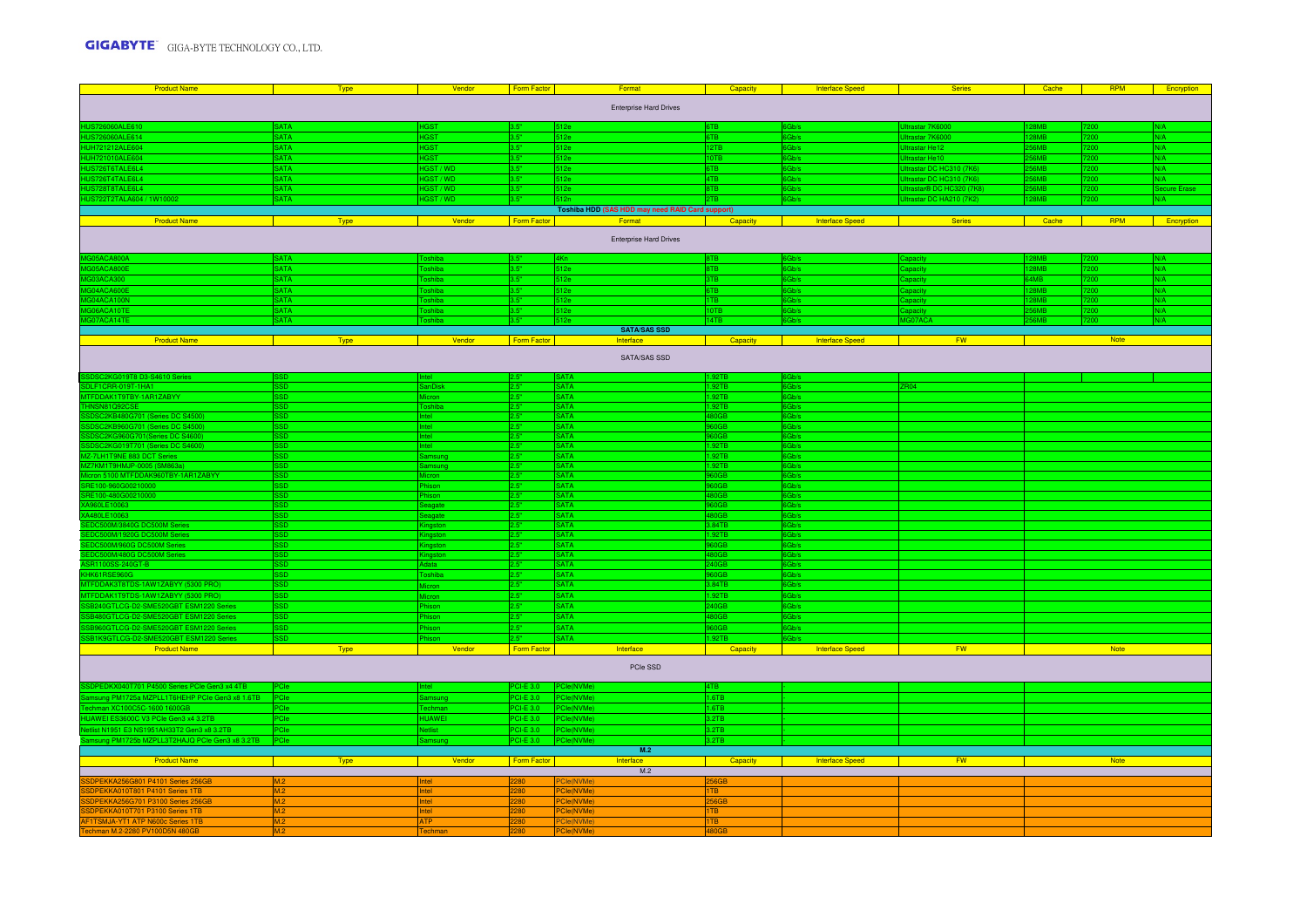| <b>Product Name</b>                                                                         | Type        | Vendor         | Form Factor      | Format                                           | Capacity         | <b>Interface Speed</b>                                               | <b>Series</b>                   | Cache           | <b>RPM</b>  | Encryption   |  |
|---------------------------------------------------------------------------------------------|-------------|----------------|------------------|--------------------------------------------------|------------------|----------------------------------------------------------------------|---------------------------------|-----------------|-------------|--------------|--|
| <b>Enterprise Hard Drives</b>                                                               |             |                |                  |                                                  |                  |                                                                      |                                 |                 |             |              |  |
| HUS726060ALE610                                                                             | <b>SATA</b> | <b>HGST</b>    | 13.5"            | 512e                                             | 6TB              | Gb/s                                                                 | trastar 7K6000                  | <b>BMB</b>      |             | N/A          |  |
| HUS726060ALE614                                                                             | <b>SATA</b> | <b>IGST</b>    |                  | 512e                                             | 6TB              | Gb/s                                                                 | trastar 7K6000                  | <b>RMR</b>      | 200         | N/A          |  |
|                                                                                             | <b>SATA</b> | <b>IGST</b>    | 3.51             | 512e                                             | 12TB             | Gb/s                                                                 | rastar He12                     | 56MB            | 200         | N/A          |  |
| HUH721212ALE604<br>HUH721010ALE604<br>HUH721010ALE604<br>HUS726T6TALE6L4<br>HUS726T4TALE6L4 | <b>SATA</b> | <b>HGST</b>    | 3.51             | 512e                                             | 10TB             | 6Gh/s                                                                | <b>Iltrastar He10</b>           | <b>56MR</b>     | 7200.       | N/A          |  |
|                                                                                             | <b>SATA</b> | HGST / WD      | ls st            | 512e                                             | 6TB              | 6Gb/s                                                                | <b>Jitrastar DC HC310 (7K6)</b> | <b>56MR</b>     | <b>7200</b> | N/A          |  |
|                                                                                             | <b>SATA</b> | HGST / WD      | 3.51             | 512e                                             | 4TB              | Gb/s                                                                 | Jitrastar DC HC310 (7K6)        | <b>S6MR</b>     |             | N/A          |  |
|                                                                                             | <b>SATA</b> | HGST/WD        | 3.51             | 512e                                             | 8TB              | 6Gb/s                                                                | Ultrastar® DC HC320 (7K8)       | <b>56MR</b>     | 7200        | Secure Erase |  |
| HUS722T2TALA604 / 1W10002                                                                   | <b>SATA</b> | HGST / WD      |                  |                                                  | 2TB              | Ghle                                                                 | Jitrastar DC HA210 (7K2)        | <b>RMR</b>      |             | $N/\Delta$   |  |
|                                                                                             |             |                |                  | Toshiba HDD (SAS HDD may need RAID Card support) |                  |                                                                      |                                 |                 |             |              |  |
| <b>Product Name</b>                                                                         | <b>Type</b> | Vendor         | Form Factor      | Format                                           | Capacity         | <b>Interface Speed</b>                                               | <b>Series</b>                   | Cache           | <b>RPM</b>  | Encryption   |  |
|                                                                                             |             |                |                  | <b>Enterprise Hard Drives</b>                    |                  |                                                                      |                                 |                 |             |              |  |
| 305ACA80                                                                                    | <b>ATA</b>  |                |                  |                                                  |                  | ah/s                                                                 |                                 |                 |             | <b>J/A</b>   |  |
| 305ACA800                                                                                   | <b>SATA</b> | <b>ishiba</b>  |                  | 512e                                             | 8T <sub>R</sub>  | Gb/s                                                                 | anacity                         | 28MB            |             | N/A          |  |
| G03ACA300                                                                                   | <b>SATA</b> | oshiba         |                  | 512e                                             | 3TB              | 6Gb/s                                                                | Capacity                        | 4M <sub>B</sub> | 200         | N/A          |  |
| GO4ACA600                                                                                   | <b>SATA</b> | oshiba         |                  | 512e                                             | 6TB              | Gb/s                                                                 | apacity                         | <b>28MB</b>     |             | N/A          |  |
| G04ACA100N                                                                                  | <b>SATA</b> | Toshiba        | la st            | 512e                                             | 1TB              | 6Gb/s                                                                |                                 | <b>28MR</b>     |             | N/A          |  |
| <b>TOFACA10T</b>                                                                            | <b>SATA</b> | <b>Toshiba</b> | lo es            | 512e                                             | 10TB             |                                                                      |                                 | SAMR            | nnes        | N/A          |  |
| 307ACA14TE                                                                                  | <b>SATA</b> | oshiha         | 3.51             |                                                  | 14TB             |                                                                      | AG07ACA                         | <b>GMR</b>      |             | N/A          |  |
|                                                                                             |             |                |                  | <b>SATA/SAS SSD</b>                              |                  |                                                                      |                                 |                 |             |              |  |
| <b>Product Name</b>                                                                         | Type        | Vendor         | Form Factor      | Interface                                        | <b>Capacity</b>  | <b>Interface Speed</b><br><b>Contract Contract Contract Contract</b> | <b>FW</b>                       |                 | Note        |              |  |
|                                                                                             |             |                |                  | SATA/SAS SSD                                     |                  |                                                                      |                                 |                 |             |              |  |
| SDSC2KG019T8 D3-S4610 Series                                                                |             |                | 12.5             | <b>SATA</b>                                      | 1.92TB           | 6Gb/s                                                                |                                 |                 |             |              |  |
| LF1CRR-019T-1HA1                                                                            |             |                |                  | <b>SATA</b>                                      | .92TB            | Gb/s                                                                 |                                 |                 |             |              |  |
| TFDDAK1T9TBY-1AR1ZABYY                                                                      |             |                |                  | <b>SATA</b>                                      | 1.92TB           | Gb/s                                                                 |                                 |                 |             |              |  |
| THNSN81Q92CSE                                                                               |             |                |                  | <b>SATA</b>                                      | 1.92TB           | 3b/s                                                                 |                                 |                 |             |              |  |
| SDSC2KB480G701 (Series DC S4500)                                                            |             |                | lo si<br>lo si   | <b>SATA</b>                                      | 480GB            | Gb/s                                                                 |                                 |                 |             |              |  |
| DSC2KB960G701 (Series DC S4500)<br>DSC2KG960G701 (Series DC S4600)                          | en.         | Intell         | lo es            | <b>SATA</b><br><b>SATA</b>                       | 60GB<br>60GB     | Gb/s                                                                 |                                 |                 |             |              |  |
| SC2KG019T701 (Series DC S4600                                                               |             |                |                  | <b>SATA</b>                                      |                  | 6Gb/s                                                                |                                 |                 |             |              |  |
| Z-7LH1T9NE 883 DCT Series                                                                   |             |                | lo si            | <b>SATA</b>                                      | 92TB<br>1.92TB   | Gh/s                                                                 |                                 |                 |             |              |  |
| Z7KM1T9HMJP-0005 (SM863a)                                                                   |             |                |                  | SATA                                             | 1.92TB           | Gh/s                                                                 |                                 |                 |             |              |  |
| cron 5100 MTFDDAK960TBY-1AR1ZABYY                                                           |             | Micron         | 2.5"             | <b>SATA</b>                                      | 60GB             | Gb/s                                                                 |                                 |                 |             |              |  |
| 3E100-960                                                                                   |             |                | 2.5"             | <b>SATA</b>                                      | 30 <sub>GB</sub> | Gh/s                                                                 |                                 |                 |             |              |  |
| 3E100-480G<br>1210000                                                                       | הם:         |                | lo si            | <b>SATA</b>                                      | 30GB             | SGb/s                                                                |                                 |                 |             |              |  |
|                                                                                             | en.         | <b>Seanste</b> | 2.5"             | <b>SATA</b>                                      | <b>ROGR</b>      | <b>AGH/s</b>                                                         |                                 |                 |             |              |  |
|                                                                                             | SD.         | eagate         | 2.5"             | <b>SATA</b>                                      | 80GB             | Gb/s                                                                 |                                 |                 |             |              |  |
| <b>GOSOOM Series</b>                                                                        |             | hastor         | 2.5"             | <b>SATA</b>                                      | 3.84TB           | Gb/s                                                                 |                                 |                 |             |              |  |
| <b>0M Serie</b>                                                                             |             | ias'           |                  | <b>SATA</b>                                      | .92TB            | Gb/s                                                                 |                                 |                 |             |              |  |
| 500M Serie                                                                                  |             | ias'           |                  | <b>SATA</b>                                      | 60GB             | Gb/s                                                                 |                                 |                 |             |              |  |
| DC500M/480G DC500M Serie                                                                    | SD.         |                | 2.5"             | <b>SATA</b>                                      | <b>180GB</b>     | 6Gb/s                                                                |                                 |                 |             |              |  |
| <b>SR1100SS-240GT-B</b>                                                                     | SD.         | Adata          | $2.5^{\circ}$    | <b>SATA</b>                                      | 240GB            | 6Gb/s                                                                |                                 |                 |             |              |  |
| KHK61RSE960G                                                                                | GS:         | Toshiba        | $2.5^{\circ}$    | <b>SATA</b>                                      | B60GB            | 6Gb/s                                                                |                                 |                 |             |              |  |
| TFDDAK3T8TDS-1AW1ZABYY (5300 PRO)                                                           | <b>SD</b>   | cror           | $2.5^{\circ}$    | <b>SATA</b>                                      | 3.84TB           | 6Gb/s                                                                |                                 |                 |             |              |  |
| TFDDAK1T9TDS-1AW1ZABYY (5300 PRO)                                                           | SD.         |                | 2.5"             | <b>SATA</b>                                      | 1.92TB           | 6Gb/s                                                                |                                 |                 |             |              |  |
| R240GTLCG-D2-SME520GRT ESM1220 Series                                                       | SD.         | hison          | 25               | <b>SATA</b>                                      | 40GB             | 6Gb/s                                                                |                                 |                 |             |              |  |
| SB480GTLCG-D2-SME520GBT ESM1220 Series                                                      | SD.         | hison          | 0.55             | <b>SATA</b>                                      | 80GB             | 6Gb/s                                                                |                                 |                 |             |              |  |
| B960GTLCG-D2-SME520GBT ESM1220 Series                                                       | <b>SSD</b>  | ison           |                  | <b>SATA</b>                                      | 8D066            | Gb/s                                                                 |                                 |                 |             |              |  |
| SB1K9GTLCG-D2-SME520GBT ESM1220 Series                                                      |             |                |                  | <b>SATA</b>                                      | .92TB            | Gh/s                                                                 |                                 |                 |             |              |  |
| <b>Product Name</b>                                                                         | <b>Type</b> | Vendor         | Form Factor      | Interface                                        | Capacity         | Interface Speed                                                      | <b>FW</b>                       |                 | Note        |              |  |
|                                                                                             |             |                |                  | PCle SSD                                         |                  |                                                                      |                                 |                 |             |              |  |
| DPEDKX040T701 P4500 Series PCIe Gen3 x4 4TB                                                 |             |                | CIF 3.0          | Cle(NVMe)                                        | 4TR              |                                                                      |                                 |                 |             |              |  |
| ung PM1725a MZPLL1T6HEHP PCle Gen3 x8 1.6TB                                                 | PCle        | amsung         | PCI-E 3.0        | PCle(NVMe)                                       | 1.6TB            |                                                                      |                                 |                 |             |              |  |
| nan XC100C5C-1600 1600GB                                                                    | <b>PCle</b> |                | <b>PCI-E 3.0</b> | PCle(NVMe)                                       | 1.6TB            |                                                                      |                                 |                 |             |              |  |
| JAWEI ES3600C V3 PCle Gen3 x4 3.2TB                                                         | PCle        | HUAWEI         | $CI-E3.0$        | le(NVMe)                                         | 3.2TB            |                                                                      |                                 |                 |             |              |  |
| ist N1951 E3 NS1951AH33T2 Gen3 x8 3.2TB                                                     | PCle        | <b>Netlist</b> | PCI-E 3.0        | Cle(NVMe)                                        | 3.2TB            |                                                                      |                                 |                 |             |              |  |
| sung PM1725b MZPLL3T2HAJQ PCIe Gen3 x8 3.2TB                                                | PCIe        | Samsung        | <b>PCI-E 3.0</b> | PCle(NVMe)                                       | 3.2TB            |                                                                      |                                 |                 |             |              |  |
|                                                                                             |             |                |                  | M.2                                              |                  |                                                                      |                                 |                 |             |              |  |
| <b>Product Name</b>                                                                         | Type        | Vendor         | Form Factor      | Interface                                        | Capacity         | <b>Interface Speed</b>                                               | <b>FW</b>                       |                 | Note        |              |  |
|                                                                                             |             |                |                  | M.2                                              |                  |                                                                      |                                 |                 |             |              |  |
| DPEKKA256G801 P4101 Series 256GB                                                            | M.2         | <b>tel</b>     | 280              | Cle(NVMe)                                        | 256GB            |                                                                      |                                 |                 |             |              |  |
| DPEKKA010T801 P4101 Series 1TB                                                              |             | let            | 280              | Cle(NVMe)                                        | ITB              |                                                                      |                                 |                 |             |              |  |
| SDPEKKA256G701 P3100 Series 256GB                                                           | M.2         | Intel          | 280              | PCle(NVMe)                                       | 256GB            |                                                                      |                                 |                 |             |              |  |
| DPEKKA010T701 P3100 Series 1TB                                                              | M.2         | Intel          | 280              | PCle(NVMe)                                       | 1TB              |                                                                      |                                 |                 |             |              |  |
| 1TSMJA-YT1 ATP N600c Series 1TB                                                             | M.2         | <b>ATP</b>     | 280              | PCle(NVMe)                                       | 1TB              |                                                                      |                                 |                 |             |              |  |
| T<br>chman M.2-2280 PV100D5N 480GB                                                          | M.2         | Techman        | 2280             | PCle(NVMe)                                       | 480GB            |                                                                      |                                 |                 |             |              |  |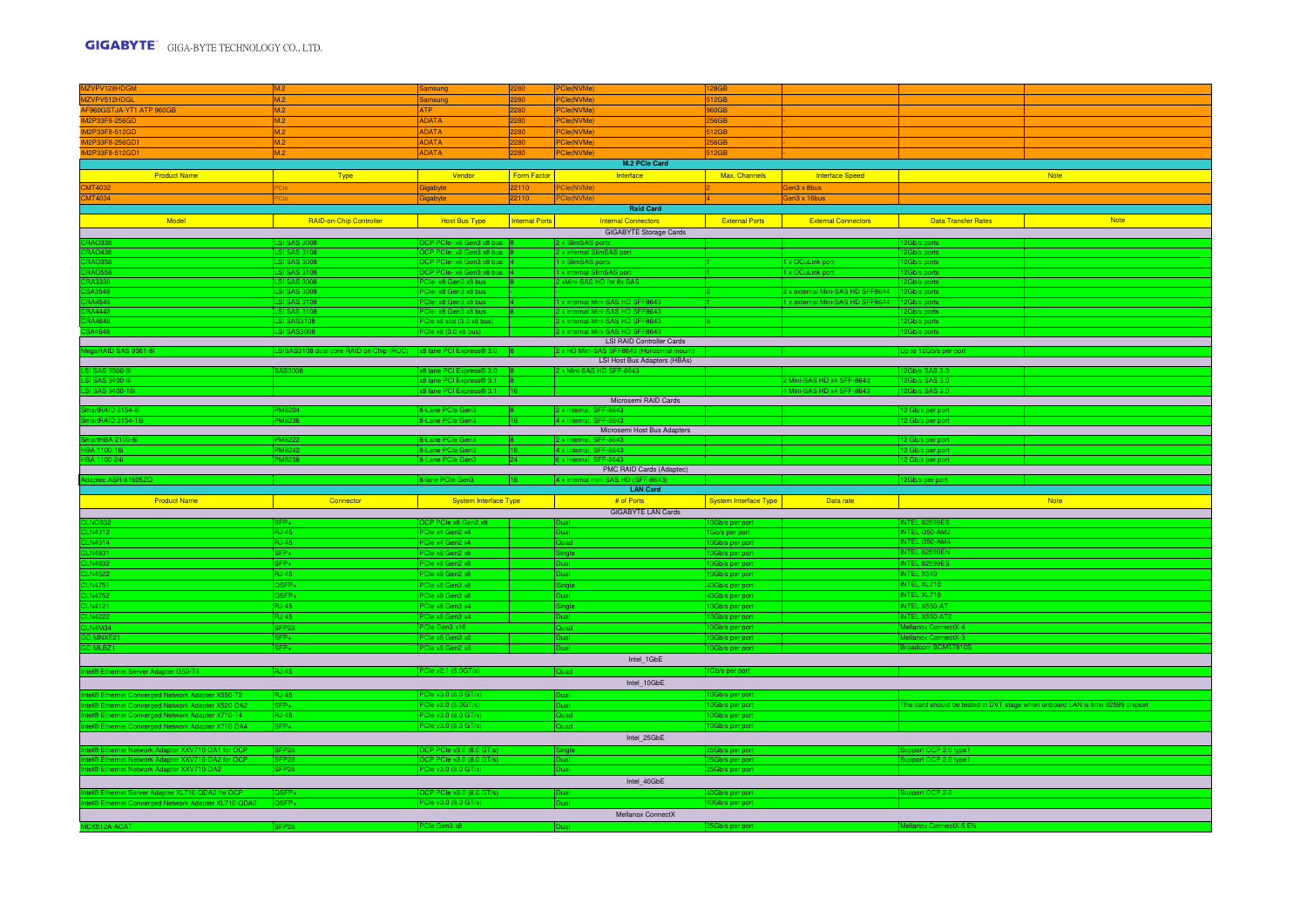| MZVPV128HDGM                                                                                         | M.2                                                               | Samsung                                                | 2280                  | <b>PCle(NVMe</b>                                                | 28GB                               |                                  |                                         |                                                                                 |
|------------------------------------------------------------------------------------------------------|-------------------------------------------------------------------|--------------------------------------------------------|-----------------------|-----------------------------------------------------------------|------------------------------------|----------------------------------|-----------------------------------------|---------------------------------------------------------------------------------|
| MZVPV512HDGL<br>AF960GSTJA-YT1 ATP 960GB                                                             | M.2                                                               | Samsung                                                | 2280                  | PCle(NVMe)                                                      | 512GB                              |                                  |                                         |                                                                                 |
|                                                                                                      | M <sub>2</sub>                                                    | <b>ATP</b>                                             | 2280                  | PCle(NVMe)                                                      | 60GB                               |                                  |                                         |                                                                                 |
| IM2P33F8-256GD                                                                                       |                                                                   | <b>ADATA</b>                                           | 2280                  | PCle(NVMe)                                                      | 56GB                               |                                  |                                         |                                                                                 |
| IM2P33F8-512GD                                                                                       |                                                                   | ADATA                                                  | 2280                  | Cle(NVMe)                                                       | 12GB                               |                                  |                                         |                                                                                 |
| IM2P33F8-256GD1                                                                                      | M.2                                                               | <b>ADATA</b>                                           | 2280                  | PCle(NVMe)                                                      | 56GB                               |                                  |                                         |                                                                                 |
| IM2P33F8-512GD1                                                                                      | M.2                                                               | <b>ADATA</b>                                           | 2280                  | PCle(NVMe)                                                      | 512GB                              |                                  |                                         |                                                                                 |
|                                                                                                      |                                                                   |                                                        |                       | M.2 PCle Card                                                   |                                    |                                  |                                         |                                                                                 |
| <b>Product Name</b>                                                                                  | Type                                                              | Vendor                                                 | Form Factor           | Interface                                                       | Max. Channels                      | <b>Interface Speed</b>           |                                         | <b>Note</b>                                                                     |
| <mark>CMT4032</mark><br>CMT4034                                                                      |                                                                   | Gigabyte                                               | 22110                 | <sup>2</sup> Cle(NVMe)                                          |                                    | Gen3 x 8bus                      |                                         |                                                                                 |
|                                                                                                      |                                                                   | Gigabyte                                               | 22110                 | PCle(NVMe)                                                      |                                    | Gen3 x 16bus                     |                                         |                                                                                 |
|                                                                                                      |                                                                   |                                                        |                       | <b>Raid Card</b>                                                |                                    |                                  |                                         |                                                                                 |
| Model                                                                                                | RAID-on-Chip Controller                                           | <b>Host Bus Type</b>                                   | <b>Internal Ports</b> | <b>Internal Connectors</b>                                      | <b>External Ports</b>              | <b>External Connectors</b>       | <b>Data Transfer Rates</b>              | <b>Note</b>                                                                     |
|                                                                                                      |                                                                   |                                                        |                       | <b>GIGABYTE Storage Cards</b>                                   |                                    |                                  |                                         |                                                                                 |
| CRAO338<br>CRAO438                                                                                   | <b>ISI SAS 3008</b>                                               | OCP PCIe- x8 Gen3 x8 bus 8                             |                       | 2 x SlimSAS ports                                               |                                    |                                  | 12Gb/s ports                            |                                                                                 |
|                                                                                                      | <b>LSI SAS 3108</b>                                               | OCP PCIe- x8 Gen3 x8 bus 8                             |                       | 2 x internal SlimSAS port                                       |                                    |                                  | 12Gb/s ports                            |                                                                                 |
| <b>CRAO358</b>                                                                                       | <b>LSI SAS 3008</b>                                               | OCP PCIe- x8 Gen3 x8 bus 4                             |                       | 1 x SlimSAS ports                                               |                                    | 1 x OCuLink port                 | 12Gb/s ports                            |                                                                                 |
| <b>CRAO558</b><br><b>RA3338</b>                                                                      | <b>LSI SAS 3108</b><br><b>SI SAS 3008</b>                         | CP PCIe- x8 Gen3 x8 bus 4<br>PCle-x8 Gen3 x8 bus       |                       | 1 x internal SlimSAS port<br>2 xMini-SAS HD for 8x SAS          |                                    | 1 x OCuLink port                 | Gb/s ports                              |                                                                                 |
| SA3548                                                                                               | <b>LSI SAS 3008</b>                                               | PCle-x8 Gen3 x8 bus                                    |                       |                                                                 |                                    | 2 x external Mini-SAS HD SFF8644 | b/s ports<br>Gb/s ports                 |                                                                                 |
| RA4548                                                                                               | <b>LSI SAS 3108</b>                                               | PCle- x8 Gen3 x8 bus                                   | 14                    | 1 x internal Mini-SAS HD SFF8643                                |                                    | 1 x external Mini-SAS HD SFF8644 | ab/s ports                              |                                                                                 |
| RA4448                                                                                               | <b>LSI SAS 3108</b>                                               | PCIe- x8 Gen3 x8 bus                                   |                       | 2 x internal Mini-SAS HD SFF8643                                |                                    |                                  | <b>Gb/s ports</b>                       |                                                                                 |
| <b>3A4648</b>                                                                                        | <b>SI SAS3108</b>                                                 | PCle x8 slot (3.0 x8 bus)                              |                       | 2 x internal Mini-SAS HD SFF8643                                |                                    |                                  | b/s ports                               |                                                                                 |
| SA4648                                                                                               | <b>ISI SAS3008</b>                                                | PCle x8 (3.0 x8 bus)                                   |                       | 2 x internal Mini-SAS HD SFF8643                                |                                    |                                  | Gb/s ports                              |                                                                                 |
|                                                                                                      |                                                                   |                                                        |                       | <b>LSI RAID Controller Cards</b>                                |                                    |                                  |                                         |                                                                                 |
| egaRAID SAS 9361-8i                                                                                  | SISAS3108 dual core RAID on Chip (ROC) x8 lane PCI Express® 3.0 8 |                                                        |                       | 2 x HD Mini-SAS SFF8643 (Horizontal mo                          |                                    |                                  | Up to 12Gb/s per port                   |                                                                                 |
|                                                                                                      | <b>AS3008</b>                                                     |                                                        |                       | LSI Host Bus Adapters (HBAs)                                    |                                    |                                  | $Sh/s$ SAS 3.0                          |                                                                                 |
| LSI SAS 9300-8i<br>SLSAS 9400-8i                                                                     |                                                                   | x8 lane PCI Express® 3.0 8<br>x8 lane PCI Express® 3.1 |                       | 2 x Mini-SAS HD SFF-8643                                        |                                    | 2 Mini-SAS HD x4 SFF-8643        | <b>GH/s SAS 30</b>                      |                                                                                 |
| LSI SAS 9400-16i                                                                                     |                                                                   | x8 lane PCI Express® 3.1 16                            |                       |                                                                 |                                    | 4 Mini-SAS HD x4 SFF-8643        | Gb/s SAS 3.0                            |                                                                                 |
|                                                                                                      |                                                                   |                                                        |                       | Microsemi RAID Cards                                            |                                    |                                  |                                         |                                                                                 |
| artRAID 3154-8i                                                                                      |                                                                   | 8-Lane PCle Gen3                                       |                       | 2 x Internal, SFF-8643                                          |                                    |                                  | 12 Gb/s per port                        |                                                                                 |
| artRAID 3154-16i                                                                                     |                                                                   | 8-Lane PCle Gen3                                       | 16                    | 4 x Internal, SFF-8643                                          |                                    |                                  | 12 Gb/s per port                        |                                                                                 |
|                                                                                                      |                                                                   |                                                        |                       | Microsemi Host Bus Adapters                                     |                                    |                                  |                                         |                                                                                 |
| artHBA 2100-                                                                                         |                                                                   | 8-Lane PCIe Ge                                         |                       | 2 x Internal, SFF-8643<br>4 x Internal, SFF-8643                |                                    |                                  | 2 Gb/s per po                           |                                                                                 |
| 3A 1100-16i                                                                                          | <b>AR242</b>                                                      | 8-Lane PCIe Gen                                        |                       |                                                                 |                                    |                                  | 2 Gb/s per po                           |                                                                                 |
|                                                                                                      |                                                                   |                                                        |                       |                                                                 |                                    |                                  |                                         |                                                                                 |
| BA 1100-24i                                                                                          | <b>PM8238</b>                                                     | 8-Lane PCIe Gen3                                       | $ 24\rangle$          | 6 x Internal, SFF-8643                                          |                                    |                                  | 12 Gb/s per port                        |                                                                                 |
| laptec ASR-81605ZQ                                                                                   |                                                                   | 8-lane PCle Gen3                                       | 16                    | PMC RAID Cards (Adaptec)<br>4 x internal mini SAS HD (SFF-8643) |                                    |                                  | 12Gb/s per port                         |                                                                                 |
|                                                                                                      |                                                                   |                                                        |                       | <b>LAN Card</b>                                                 |                                    |                                  |                                         |                                                                                 |
| <b>Product Name</b>                                                                                  | Connector                                                         | System Interface Type                                  |                       | # of Ports                                                      | System Interface Type              | Data rate                        |                                         | <b>Note</b>                                                                     |
|                                                                                                      |                                                                   |                                                        |                       | <b>GIGABYTE LAN Cards</b>                                       |                                    |                                  |                                         |                                                                                 |
|                                                                                                      |                                                                   | OCP PCIe x8 Gen2 x8                                    |                       |                                                                 | 10Gb/s per port                    |                                  | <b>INTEL 82599ES</b>                    |                                                                                 |
|                                                                                                      | <b>RJ-45</b>                                                      | PCle x4 Gen2 x4                                        |                       |                                                                 | 3b/s per port                      |                                  | INTEL i350-AM2                          |                                                                                 |
|                                                                                                      | <b>RJ-45</b>                                                      | PCle x4 Gen2 x4                                        |                       | Quad                                                            | OGb/s per port                     |                                  | INTEL i350-AM4                          |                                                                                 |
|                                                                                                      | SFP+                                                              | PCIe x8 Gen2 x8                                        |                       | igle                                                            | 10Gb/s per port                    |                                  | INTEL 82599EN                           |                                                                                 |
| CLNO832<br>CLN4312<br>CLN4314<br>CLN4831<br>CLN4832                                                  | SFP+                                                              | PCle x8 Gen2 x8                                        |                       | วิเเล⊟                                                          | 10Gb/s per port                    |                                  | INTEL 82599ES                           |                                                                                 |
| <b>CLN4522</b>                                                                                       | <b>BJ-45</b>                                                      | PCle x8 Gen2 x8                                        |                       | Dual:                                                           | 0Gb/s per port                     |                                  | INTEL X540                              |                                                                                 |
| <b>CLN4751</b>                                                                                       | $2SFP+$                                                           | PCle x8 Gen3 x8                                        |                       | ingle                                                           | 0Gb/s per port                     |                                  | <b>INTEL XL710</b>                      |                                                                                 |
| <b>CLN4752</b>                                                                                       | OSFP+                                                             | PCle x8 Gen3 x8                                        |                       | Dual                                                            | 0Gb/s per port                     |                                  | INTEL XL710                             |                                                                                 |
|                                                                                                      | <b>B.I-45</b>                                                     | PCle x8 Gen3 x4                                        |                       | ingle<br>Dual -                                                 | 10Gb/s per port                    |                                  | <b>INTEL X550-AT</b>                    |                                                                                 |
| CLN4121<br>CLN4121                                                                                   | <b>RJ-45</b>                                                      | PCle x8 Gen3 x4                                        |                       |                                                                 | 10Gb/s per port                    |                                  | INTEL X550-AT2                          |                                                                                 |
| CLN4M34<br>-MNXE2                                                                                    | SFP <sub>28</sub><br>$SFP+$                                       | PCle Gen3 x16<br>PCle x8 Gen3 x8                       |                       | Quad                                                            | 10Gb/s per port                    |                                  | Mellanox ConnectX-4<br>lanox ConnectX-3 |                                                                                 |
| C-MLBZ1                                                                                              | SFP+                                                              | PCle x8 Gen2 x8                                        |                       |                                                                 | 10Gb/s per port<br>10Gb/s per port |                                  | adcom BCM57810                          |                                                                                 |
|                                                                                                      |                                                                   |                                                        |                       | Intel_1GbE                                                      |                                    |                                  |                                         |                                                                                 |
|                                                                                                      | <b>RJ-45</b>                                                      | PCle v2.1 (5.0GT/s)                                    |                       | Quad                                                            |                                    |                                  |                                         |                                                                                 |
| Intel® Ethernet Server Adapter I350-T4                                                               |                                                                   |                                                        |                       |                                                                 | 1Gb/s per port                     |                                  |                                         |                                                                                 |
|                                                                                                      |                                                                   |                                                        |                       | Intel_10GbE                                                     |                                    |                                  |                                         |                                                                                 |
| tel® Ethernet Converged Network Adapter X550-T2                                                      | <b>RJ-45</b><br>SEP <sub>+</sub>                                  | PCle v3.0 (8.0 GT/s)<br>PCIe v2.0 (5.0GT/s)            |                       | Dual                                                            | Gb/s per port                      |                                  |                                         |                                                                                 |
| el® Ethernet Converged Network Adapter X520-DA2                                                      | <b>RJ-45</b>                                                      | PCle v3.0 (8.0 GT/s)                                   |                       | Quad                                                            | 0Gb/s per port<br>10Gb/s per port  |                                  |                                         | This card should be tested in DVT stage when onboard LAN is Intel 82599 chipset |
| el® Ethernet Converged Network Adapter X710-T4<br>tel® Ethernet Converged Network Adapter X710-DA4   | $SFP+$                                                            | PCle v3.0 (8.0 GT/s)                                   |                       | Quad                                                            | 10Gb/s per port                    |                                  |                                         |                                                                                 |
|                                                                                                      |                                                                   |                                                        |                       |                                                                 |                                    |                                  |                                         |                                                                                 |
|                                                                                                      | SFP <sub>28</sub>                                                 |                                                        |                       | Intel_25GbE                                                     |                                    |                                  |                                         |                                                                                 |
| el® Ethernet Network Adapter XXV710-DA1 for OCP                                                      | SFP <sub>28</sub>                                                 | OCP PCIe v3.0 (8.0 GT/s)<br>OCP PCIe v3.0 (8.0 GT/s)   |                       | Single<br>Dual                                                  | Gb/s per port<br>5Gb/s per port    |                                  | upport OCP 2.0 type1                    |                                                                                 |
| el® Ethernet Network Adapter XXV710-DA2 for OCP<br>tel® Ethernet Network Adapter XXV710-DA2          | SFP <sub>28</sub>                                                 | PCIe v3.0 (8.0 GT/s)                                   |                       | Dual                                                            | 5Gb/s per port                     |                                  | upport OCP 2.0 type1                    |                                                                                 |
|                                                                                                      |                                                                   |                                                        |                       | Intel_40GbE                                                     |                                    |                                  |                                         |                                                                                 |
|                                                                                                      | QSFP+                                                             | OCP PCle v3.0 (8.0 GT/s)                               |                       |                                                                 | OGb/s per port                     |                                  | pport OCP 2.0                           |                                                                                 |
| tel® Ethernet Server Adapter XL710-QDA2 for OCP<br>el® Ethernet Converged Network Adapter XL710-QDA2 | QSFP+                                                             | PCIe v3.0 (8.0 GT/s)                                   |                       | Dual                                                            | 40Gb/s per port                    |                                  |                                         |                                                                                 |
| MCX512A-ACAT                                                                                         |                                                                   |                                                        |                       | Mellanox ConnectX                                               |                                    |                                  |                                         |                                                                                 |